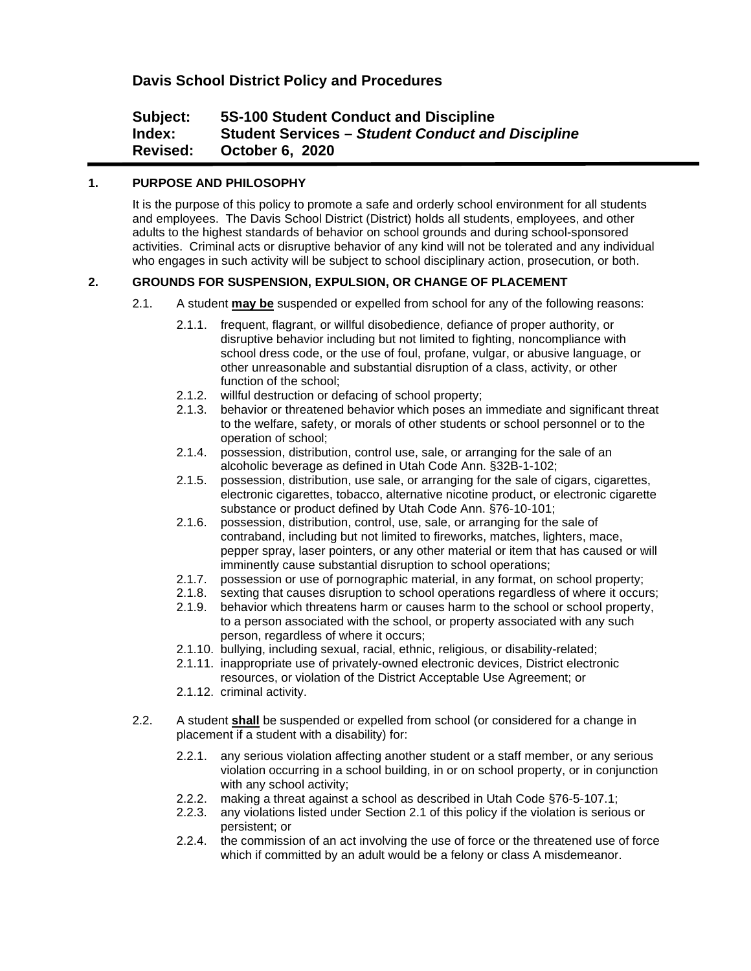# **Davis School District Policy and Procedures**

# **Subject: 5S-100 Student Conduct and Discipline Index: Student Services –** *Student Conduct and Discipline* **Revised: October 6, 2020**

# **1. PURPOSE AND PHILOSOPHY**

It is the purpose of this policy to promote a safe and orderly school environment for all students and employees. The Davis School District (District) holds all students, employees, and other adults to the highest standards of behavior on school grounds and during school-sponsored activities. Criminal acts or disruptive behavior of any kind will not be tolerated and any individual who engages in such activity will be subject to school disciplinary action, prosecution, or both.

# **2. GROUNDS FOR SUSPENSION, EXPULSION, OR CHANGE OF PLACEMENT**

- 2.1. A student **may be** suspended or expelled from school for any of the following reasons:
	- 2.1.1. frequent, flagrant, or willful disobedience, defiance of proper authority, or disruptive behavior including but not limited to fighting, noncompliance with school dress code, or the use of foul, profane, vulgar, or abusive language, or other unreasonable and substantial disruption of a class, activity, or other function of the school;
	- 2.1.2. willful destruction or defacing of school property;
	- 2.1.3. behavior or threatened behavior which poses an immediate and significant threat to the welfare, safety, or morals of other students or school personnel or to the operation of school;
	- 2.1.4. possession, distribution, control use, sale, or arranging for the sale of an alcoholic beverage as defined in Utah Code Ann. §32B-1-102;
	- 2.1.5. possession, distribution, use sale, or arranging for the sale of cigars, cigarettes, electronic cigarettes, tobacco, alternative nicotine product, or electronic cigarette substance or product defined by Utah Code Ann. §76-10-101;
	- 2.1.6. possession, distribution, control, use, sale, or arranging for the sale of contraband, including but not limited to fireworks, matches, lighters, mace, pepper spray, laser pointers, or any other material or item that has caused or will imminently cause substantial disruption to school operations;
	- 2.1.7. possession or use of pornographic material, in any format, on school property;
	- 2.1.8. sexting that causes disruption to school operations regardless of where it occurs;
	- 2.1.9. behavior which threatens harm or causes harm to the school or school property, to a person associated with the school, or property associated with any such person, regardless of where it occurs;
	- 2.1.10. bullying, including sexual, racial, ethnic, religious, or disability-related;
	- 2.1.11. inappropriate use of privately-owned electronic devices, District electronic resources, or violation of the District Acceptable Use Agreement; or
	- 2.1.12. criminal activity.
- 2.2. A student **shall** be suspended or expelled from school (or considered for a change in placement if a student with a disability) for:
	- 2.2.1. any serious violation affecting another student or a staff member, or any serious violation occurring in a school building, in or on school property, or in conjunction with any school activity;
	- 2.2.2. making a threat against a school as described in Utah Code §76-5-107.1;
	- 2.2.3. any violations listed under Section 2.1 of this policy if the violation is serious or persistent; or
	- 2.2.4. the commission of an act involving the use of force or the threatened use of force which if committed by an adult would be a felony or class A misdemeanor.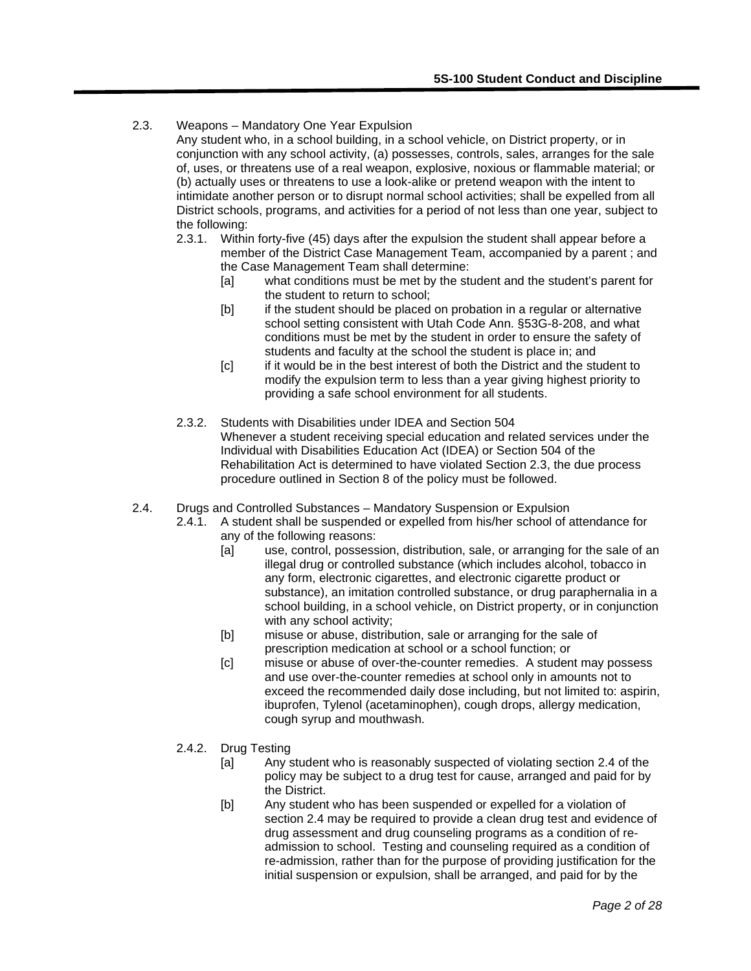2.3. Weapons – Mandatory One Year Expulsion

Any student who, in a school building, in a school vehicle, on District property, or in conjunction with any school activity, (a) possesses, controls, sales, arranges for the sale of, uses, or threatens use of a real weapon, explosive, noxious or flammable material; or (b) actually uses or threatens to use a look-alike or pretend weapon with the intent to intimidate another person or to disrupt normal school activities; shall be expelled from all District schools, programs, and activities for a period of not less than one year, subject to the following:

- 2.3.1. Within forty-five (45) days after the expulsion the student shall appear before a member of the District Case Management Team, accompanied by a parent ; and the Case Management Team shall determine:
	- [a] what conditions must be met by the student and the student's parent for the student to return to school;
	- [b] if the student should be placed on probation in a regular or alternative school setting consistent with Utah Code Ann. §53G-8-208, and what conditions must be met by the student in order to ensure the safety of students and faculty at the school the student is place in; and
	- [c] if it would be in the best interest of both the District and the student to modify the expulsion term to less than a year giving highest priority to providing a safe school environment for all students.
- 2.3.2. Students with Disabilities under IDEA and Section 504 Whenever a student receiving special education and related services under the Individual with Disabilities Education Act (IDEA) or Section 504 of the Rehabilitation Act is determined to have violated Section 2.3, the due process procedure outlined in Section 8 of the policy must be followed.
- 2.4. Drugs and Controlled Substances Mandatory Suspension or Expulsion
	- 2.4.1. A student shall be suspended or expelled from his/her school of attendance for any of the following reasons:
		- [a] use, control, possession, distribution, sale, or arranging for the sale of an illegal drug or controlled substance (which includes alcohol, tobacco in any form, electronic cigarettes, and electronic cigarette product or substance), an imitation controlled substance, or drug paraphernalia in a school building, in a school vehicle, on District property, or in conjunction with any school activity;
		- [b] misuse or abuse, distribution, sale or arranging for the sale of prescription medication at school or a school function; or
		- [c] misuse or abuse of over-the-counter remedies. A student may possess and use over-the-counter remedies at school only in amounts not to exceed the recommended daily dose including, but not limited to: aspirin, ibuprofen, Tylenol (acetaminophen), cough drops, allergy medication, cough syrup and mouthwash.
	- 2.4.2. Drug Testing
		- [a] Any student who is reasonably suspected of violating section 2.4 of the policy may be subject to a drug test for cause, arranged and paid for by the District.
		- [b] Any student who has been suspended or expelled for a violation of section 2.4 may be required to provide a clean drug test and evidence of drug assessment and drug counseling programs as a condition of readmission to school. Testing and counseling required as a condition of re-admission, rather than for the purpose of providing justification for the initial suspension or expulsion, shall be arranged, and paid for by the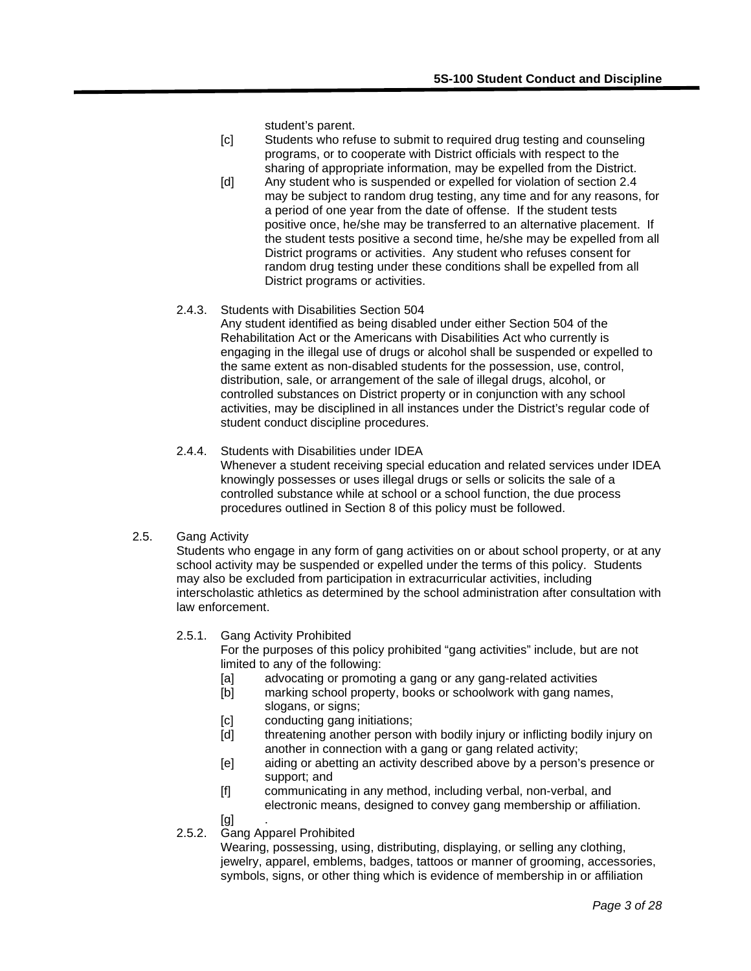student's parent.

- [c] Students who refuse to submit to required drug testing and counseling programs, or to cooperate with District officials with respect to the sharing of appropriate information, may be expelled from the District.
- [d] Any student who is suspended or expelled for violation of section 2.4 may be subject to random drug testing, any time and for any reasons, for a period of one year from the date of offense. If the student tests positive once, he/she may be transferred to an alternative placement. If the student tests positive a second time, he/she may be expelled from all District programs or activities. Any student who refuses consent for random drug testing under these conditions shall be expelled from all District programs or activities.

## 2.4.3. Students with Disabilities Section 504

Any student identified as being disabled under either Section 504 of the Rehabilitation Act or the Americans with Disabilities Act who currently is engaging in the illegal use of drugs or alcohol shall be suspended or expelled to the same extent as non-disabled students for the possession, use, control, distribution, sale, or arrangement of the sale of illegal drugs, alcohol, or controlled substances on District property or in conjunction with any school activities, may be disciplined in all instances under the District's regular code of student conduct discipline procedures.

## 2.4.4. Students with Disabilities under IDEA

Whenever a student receiving special education and related services under IDEA knowingly possesses or uses illegal drugs or sells or solicits the sale of a controlled substance while at school or a school function, the due process procedures outlined in Section 8 of this policy must be followed.

## 2.5. Gang Activity

Students who engage in any form of gang activities on or about school property, or at any school activity may be suspended or expelled under the terms of this policy. Students may also be excluded from participation in extracurricular activities, including interscholastic athletics as determined by the school administration after consultation with law enforcement.

## 2.5.1. Gang Activity Prohibited

For the purposes of this policy prohibited "gang activities" include, but are not limited to any of the following:

- [a] advocating or promoting a gang or any gang-related activities
- [b] marking school property, books or schoolwork with gang names, slogans, or signs;
- [c] conducting gang initiations;
- [d] threatening another person with bodily injury or inflicting bodily injury on another in connection with a gang or gang related activity;
- [e] aiding or abetting an activity described above by a person's presence or support; and
- [f] communicating in any method, including verbal, non-verbal, and electronic means, designed to convey gang membership or affiliation.
- [g]

## 2.5.2. Gang Apparel Prohibited

Wearing, possessing, using, distributing, displaying, or selling any clothing, jewelry, apparel, emblems, badges, tattoos or manner of grooming, accessories, symbols, signs, or other thing which is evidence of membership in or affiliation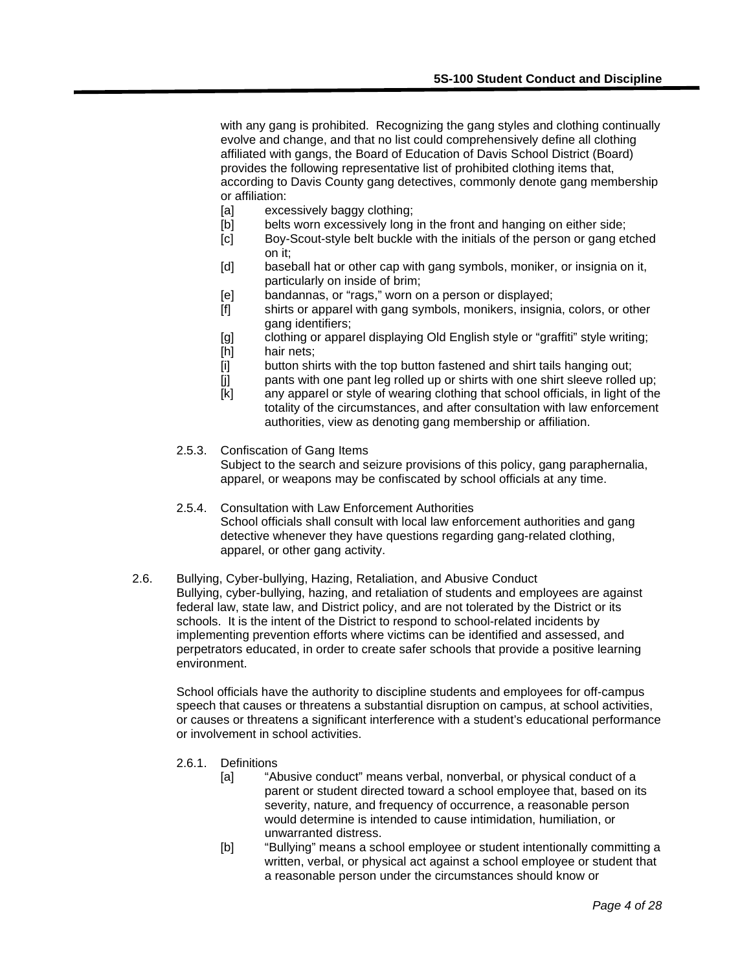with any gang is prohibited. Recognizing the gang styles and clothing continually evolve and change, and that no list could comprehensively define all clothing affiliated with gangs, the Board of Education of Davis School District (Board) provides the following representative list of prohibited clothing items that, according to Davis County gang detectives, commonly denote gang membership or affiliation:

- [a] excessively baggy clothing;
- [b] belts worn excessively long in the front and hanging on either side;
- [c] Boy-Scout-style belt buckle with the initials of the person or gang etched on it;
- [d] baseball hat or other cap with gang symbols, moniker, or insignia on it, particularly on inside of brim;
- [e] bandannas, or "rags," worn on a person or displayed;
- [f] shirts or apparel with gang symbols, monikers, insignia, colors, or other gang identifiers;
- [g] clothing or apparel displaying Old English style or "graffiti" style writing;
- [h] hair nets;
- [i] button shirts with the top button fastened and shirt tails hanging out;
- [j] pants with one pant leg rolled up or shirts with one shirt sleeve rolled up;
- [k] any apparel or style of wearing clothing that school officials, in light of the totality of the circumstances, and after consultation with law enforcement authorities, view as denoting gang membership or affiliation.
- 2.5.3. Confiscation of Gang Items Subject to the search and seizure provisions of this policy, gang paraphernalia, apparel, or weapons may be confiscated by school officials at any time.
- 2.5.4. Consultation with Law Enforcement Authorities School officials shall consult with local law enforcement authorities and gang detective whenever they have questions regarding gang-related clothing, apparel, or other gang activity.
- 2.6. Bullying, Cyber-bullying, Hazing, Retaliation, and Abusive Conduct Bullying, cyber-bullying, hazing, and retaliation of students and employees are against federal law, state law, and District policy, and are not tolerated by the District or its schools. It is the intent of the District to respond to school-related incidents by implementing prevention efforts where victims can be identified and assessed, and perpetrators educated, in order to create safer schools that provide a positive learning environment.

School officials have the authority to discipline students and employees for off-campus speech that causes or threatens a substantial disruption on campus, at school activities, or causes or threatens a significant interference with a student's educational performance or involvement in school activities.

- 2.6.1. Definitions
	- [a] "Abusive conduct" means verbal, nonverbal, or physical conduct of a parent or student directed toward a school employee that, based on its severity, nature, and frequency of occurrence, a reasonable person would determine is intended to cause intimidation, humiliation, or unwarranted distress.
	- [b] "Bullying" means a school employee or student intentionally committing a written, verbal, or physical act against a school employee or student that a reasonable person under the circumstances should know or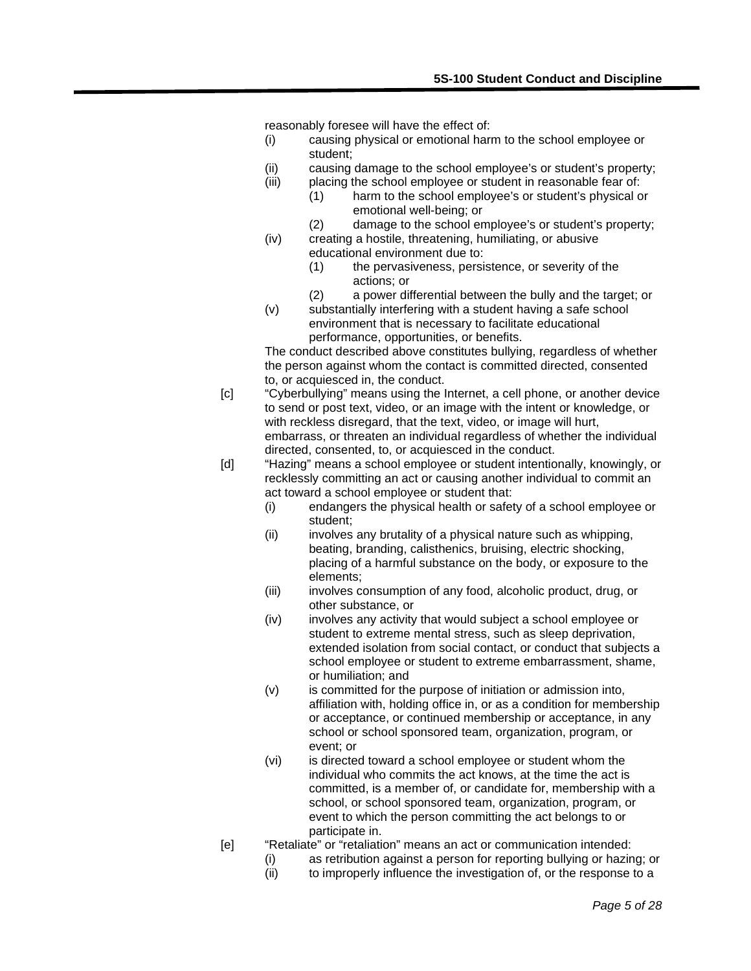reasonably foresee will have the effect of:

- (i) causing physical or emotional harm to the school employee or student;
- (ii) causing damage to the school employee's or student's property;
- (iii) placing the school employee or student in reasonable fear of:
	- (1) harm to the school employee's or student's physical or emotional well-being; or
	- (2) damage to the school employee's or student's property;
- (iv) creating a hostile, threatening, humiliating, or abusive educational environment due to:
	- (1) the pervasiveness, persistence, or severity of the actions; or
	- (2) a power differential between the bully and the target; or
- (v) substantially interfering with a student having a safe school environment that is necessary to facilitate educational performance, opportunities, or benefits.

The conduct described above constitutes bullying, regardless of whether the person against whom the contact is committed directed, consented to, or acquiesced in, the conduct.

- [c] "Cyberbullying" means using the Internet, a cell phone, or another device to send or post text, video, or an image with the intent or knowledge, or with reckless disregard, that the text, video, or image will hurt, embarrass, or threaten an individual regardless of whether the individual directed, consented, to, or acquiesced in the conduct.
- [d] "Hazing" means a school employee or student intentionally, knowingly, or recklessly committing an act or causing another individual to commit an act toward a school employee or student that:
	- (i) endangers the physical health or safety of a school employee or student;
	- (ii) involves any brutality of a physical nature such as whipping, beating, branding, calisthenics, bruising, electric shocking, placing of a harmful substance on the body, or exposure to the elements;
	- (iii) involves consumption of any food, alcoholic product, drug, or other substance, or
	- (iv) involves any activity that would subject a school employee or student to extreme mental stress, such as sleep deprivation, extended isolation from social contact, or conduct that subjects a school employee or student to extreme embarrassment, shame, or humiliation; and
	- (v) is committed for the purpose of initiation or admission into, affiliation with, holding office in, or as a condition for membership or acceptance, or continued membership or acceptance, in any school or school sponsored team, organization, program, or event; or
	- (vi) is directed toward a school employee or student whom the individual who commits the act knows, at the time the act is committed, is a member of, or candidate for, membership with a school, or school sponsored team, organization, program, or event to which the person committing the act belongs to or participate in.
- [e] "Retaliate" or "retaliation" means an act or communication intended:
	- (i) as retribution against a person for reporting bullying or hazing; or (ii) to improperly influence the investigation of or the response to a
	- to improperly influence the investigation of, or the response to a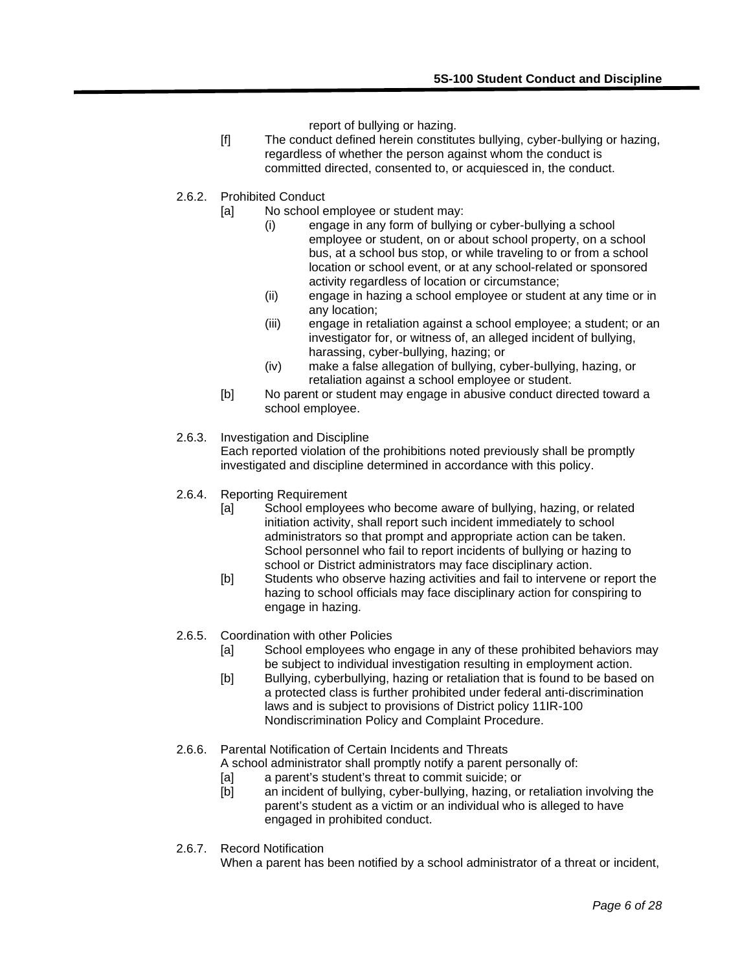report of bullying or hazing.

- [f] The conduct defined herein constitutes bullying, cyber-bullying or hazing, regardless of whether the person against whom the conduct is committed directed, consented to, or acquiesced in, the conduct.
- 2.6.2. Prohibited Conduct
	- [a] No school employee or student may:
		- (i) engage in any form of bullying or cyber-bullying a school employee or student, on or about school property, on a school bus, at a school bus stop, or while traveling to or from a school location or school event, or at any school-related or sponsored activity regardless of location or circumstance;
		- (ii) engage in hazing a school employee or student at any time or in any location;
		- (iii) engage in retaliation against a school employee; a student; or an investigator for, or witness of, an alleged incident of bullying, harassing, cyber-bullying, hazing; or
		- (iv) make a false allegation of bullying, cyber-bullying, hazing, or retaliation against a school employee or student.
	- [b] No parent or student may engage in abusive conduct directed toward a school employee.

#### 2.6.3. Investigation and Discipline

Each reported violation of the prohibitions noted previously shall be promptly investigated and discipline determined in accordance with this policy.

- 2.6.4. Reporting Requirement
	- [a] School employees who become aware of bullying, hazing, or related initiation activity, shall report such incident immediately to school administrators so that prompt and appropriate action can be taken. School personnel who fail to report incidents of bullying or hazing to school or District administrators may face disciplinary action.
	- [b] Students who observe hazing activities and fail to intervene or report the hazing to school officials may face disciplinary action for conspiring to engage in hazing.
- 2.6.5. Coordination with other Policies
	- [a] School employees who engage in any of these prohibited behaviors may be subject to individual investigation resulting in employment action.
	- [b] Bullying, cyberbullying, hazing or retaliation that is found to be based on a protected class is further prohibited under federal anti-discrimination laws and is subject to provisions of District policy 11IR-100 Nondiscrimination Policy and Complaint Procedure.
- 2.6.6. Parental Notification of Certain Incidents and Threats
	- A school administrator shall promptly notify a parent personally of:
		- [a] a parent's student's threat to commit suicide; or
		- [b] an incident of bullying, cyber-bullying, hazing, or retaliation involving the parent's student as a victim or an individual who is alleged to have engaged in prohibited conduct.
- 2.6.7. Record Notification

When a parent has been notified by a school administrator of a threat or incident,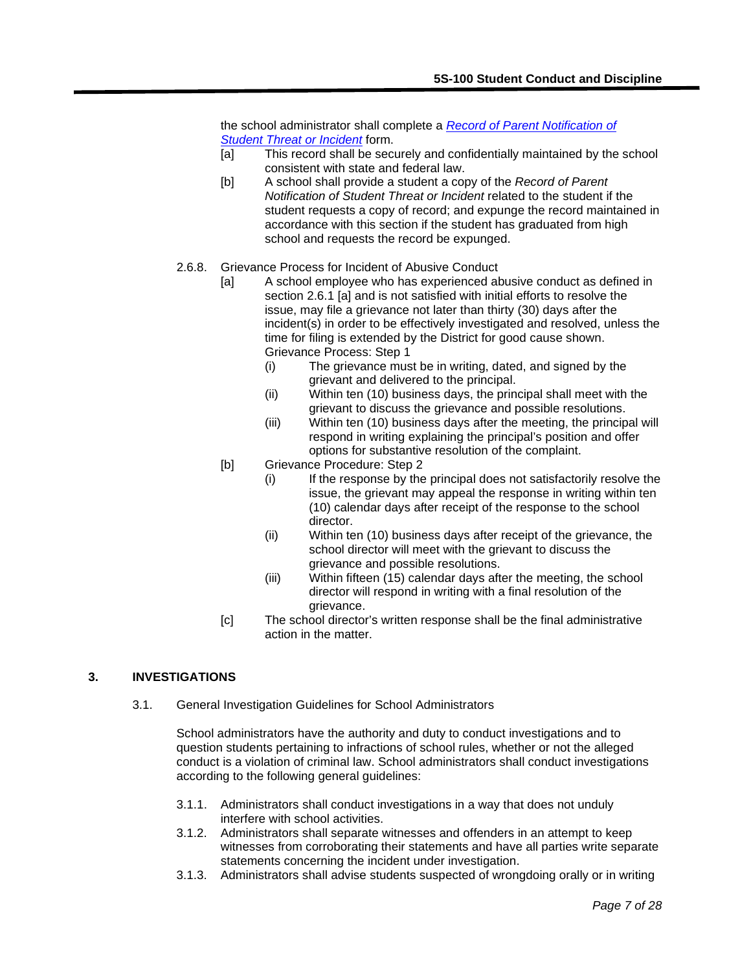the school administrator shall complete a *[Record of Parent Notification of](http://www.davis.k12.ut.us/cms/lib07/UT01001306/Centricity/domain/12/forms/Record%20of%20Parent%20Notification%20of%20Student%20Threat%20or%20Incident.pdf)  [Student Threat or Incident](http://www.davis.k12.ut.us/cms/lib07/UT01001306/Centricity/domain/12/forms/Record%20of%20Parent%20Notification%20of%20Student%20Threat%20or%20Incident.pdf)* form.

- [a] This record shall be securely and confidentially maintained by the school consistent with state and federal law.
- [b] A school shall provide a student a copy of the *Record of Parent Notification of Student Threat or Incident* related to the student if the student requests a copy of record; and expunge the record maintained in accordance with this section if the student has graduated from high school and requests the record be expunged.
- 2.6.8. Grievance Process for Incident of Abusive Conduct
	- [a] A school employee who has experienced abusive conduct as defined in section 2.6.1 [a] and is not satisfied with initial efforts to resolve the issue, may file a grievance not later than thirty (30) days after the incident(s) in order to be effectively investigated and resolved, unless the time for filing is extended by the District for good cause shown. Grievance Process: Step 1
		- (i) The grievance must be in writing, dated, and signed by the grievant and delivered to the principal.
		- (ii) Within ten (10) business days, the principal shall meet with the grievant to discuss the grievance and possible resolutions.
		- (iii) Within ten (10) business days after the meeting, the principal will respond in writing explaining the principal's position and offer options for substantive resolution of the complaint.
	- [b] Grievance Procedure: Step 2
		- (i) If the response by the principal does not satisfactorily resolve the issue, the grievant may appeal the response in writing within ten (10) calendar days after receipt of the response to the school director.
		- (ii) Within ten (10) business days after receipt of the grievance, the school director will meet with the grievant to discuss the grievance and possible resolutions.
		- (iii) Within fifteen (15) calendar days after the meeting, the school director will respond in writing with a final resolution of the grievance.
	- [c] The school director's written response shall be the final administrative action in the matter.

## **3. INVESTIGATIONS**

3.1. General Investigation Guidelines for School Administrators

School administrators have the authority and duty to conduct investigations and to question students pertaining to infractions of school rules, whether or not the alleged conduct is a violation of criminal law. School administrators shall conduct investigations according to the following general guidelines:

- 3.1.1. Administrators shall conduct investigations in a way that does not unduly interfere with school activities.
- 3.1.2. Administrators shall separate witnesses and offenders in an attempt to keep witnesses from corroborating their statements and have all parties write separate statements concerning the incident under investigation.
- 3.1.3. Administrators shall advise students suspected of wrongdoing orally or in writing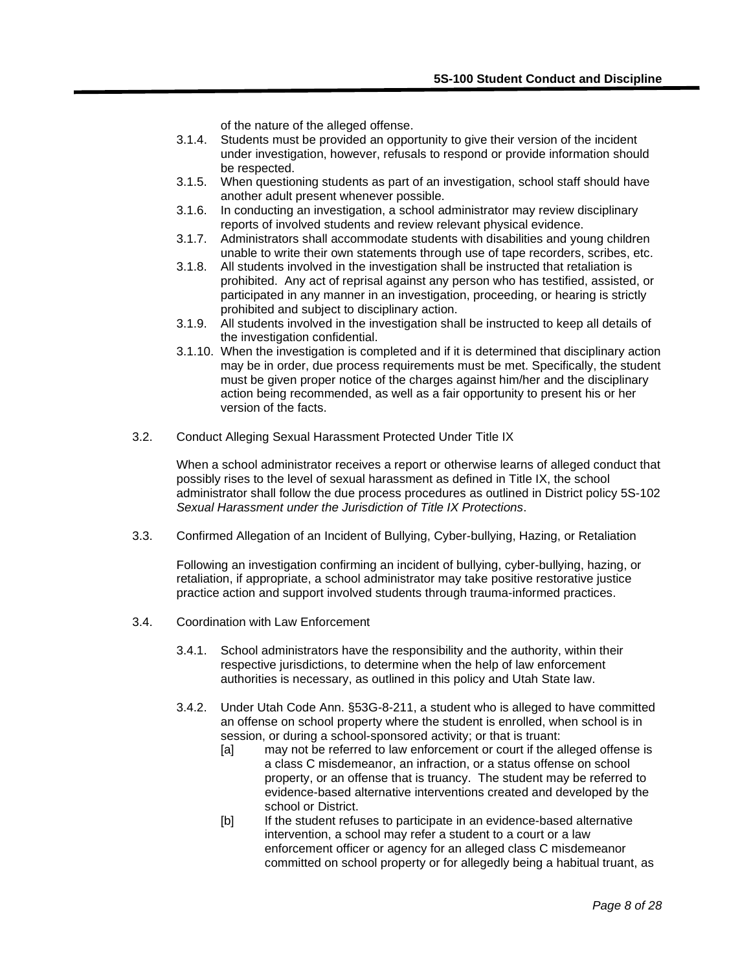of the nature of the alleged offense.

- 3.1.4. Students must be provided an opportunity to give their version of the incident under investigation, however, refusals to respond or provide information should be respected.
- 3.1.5. When questioning students as part of an investigation, school staff should have another adult present whenever possible.
- 3.1.6. In conducting an investigation, a school administrator may review disciplinary reports of involved students and review relevant physical evidence.
- 3.1.7. Administrators shall accommodate students with disabilities and young children unable to write their own statements through use of tape recorders, scribes, etc.
- 3.1.8. All students involved in the investigation shall be instructed that retaliation is prohibited. Any act of reprisal against any person who has testified, assisted, or participated in any manner in an investigation, proceeding, or hearing is strictly prohibited and subject to disciplinary action.
- 3.1.9. All students involved in the investigation shall be instructed to keep all details of the investigation confidential.
- 3.1.10. When the investigation is completed and if it is determined that disciplinary action may be in order, due process requirements must be met. Specifically, the student must be given proper notice of the charges against him/her and the disciplinary action being recommended, as well as a fair opportunity to present his or her version of the facts.
- 3.2. Conduct Alleging Sexual Harassment Protected Under Title IX

When a school administrator receives a report or otherwise learns of alleged conduct that possibly rises to the level of sexual harassment as defined in Title IX, the school administrator shall follow the due process procedures as outlined in District policy 5S-102 *Sexual Harassment under the Jurisdiction of Title IX Protections*.

3.3. Confirmed Allegation of an Incident of Bullying, Cyber-bullying, Hazing, or Retaliation

Following an investigation confirming an incident of bullying, cyber-bullying, hazing, or retaliation, if appropriate, a school administrator may take positive restorative justice practice action and support involved students through trauma-informed practices.

- 3.4. Coordination with Law Enforcement
	- 3.4.1. School administrators have the responsibility and the authority, within their respective jurisdictions, to determine when the help of law enforcement authorities is necessary, as outlined in this policy and Utah State law.
	- 3.4.2. Under Utah Code Ann. §53G-8-211, a student who is alleged to have committed an offense on school property where the student is enrolled, when school is in session, or during a school-sponsored activity; or that is truant:
		- [a] may not be referred to law enforcement or court if the alleged offense is a class C misdemeanor, an infraction, or a status offense on school property, or an offense that is truancy. The student may be referred to evidence-based alternative interventions created and developed by the school or District.
		- [b] If the student refuses to participate in an evidence-based alternative intervention, a school may refer a student to a court or a law enforcement officer or agency for an alleged class C misdemeanor committed on school property or for allegedly being a habitual truant, as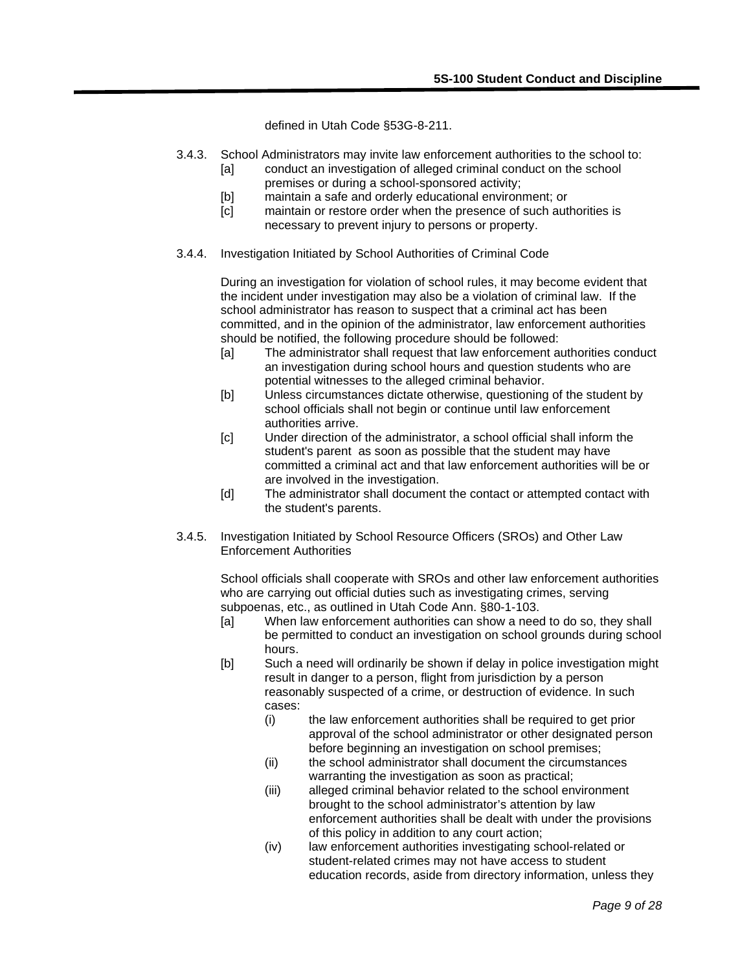defined in Utah Code §53G-8-211.

- 3.4.3. School Administrators may invite law enforcement authorities to the school to: [a] conduct an investigation of alleged criminal conduct on the school
	- premises or during a school-sponsored activity;
	- [b] maintain a safe and orderly educational environment; or
	- [c] maintain or restore order when the presence of such authorities is necessary to prevent injury to persons or property.
- 3.4.4. Investigation Initiated by School Authorities of Criminal Code

During an investigation for violation of school rules, it may become evident that the incident under investigation may also be a violation of criminal law. If the school administrator has reason to suspect that a criminal act has been committed, and in the opinion of the administrator, law enforcement authorities should be notified, the following procedure should be followed:

- [a] The administrator shall request that law enforcement authorities conduct an investigation during school hours and question students who are potential witnesses to the alleged criminal behavior.
- [b] Unless circumstances dictate otherwise, questioning of the student by school officials shall not begin or continue until law enforcement authorities arrive.
- [c] Under direction of the administrator, a school official shall inform the student's parent as soon as possible that the student may have committed a criminal act and that law enforcement authorities will be or are involved in the investigation.
- [d] The administrator shall document the contact or attempted contact with the student's parents.
- 3.4.5. Investigation Initiated by School Resource Officers (SROs) and Other Law Enforcement Authorities

School officials shall cooperate with SROs and other law enforcement authorities who are carrying out official duties such as investigating crimes, serving subpoenas, etc., as outlined in Utah Code Ann. §80-1-103.

- [a] When law enforcement authorities can show a need to do so, they shall be permitted to conduct an investigation on school grounds during school hours.
- [b] Such a need will ordinarily be shown if delay in police investigation might result in danger to a person, flight from jurisdiction by a person reasonably suspected of a crime, or destruction of evidence. In such cases:
	- (i) the law enforcement authorities shall be required to get prior approval of the school administrator or other designated person before beginning an investigation on school premises;
	- (ii) the school administrator shall document the circumstances warranting the investigation as soon as practical;
	- (iii) alleged criminal behavior related to the school environment brought to the school administrator's attention by law enforcement authorities shall be dealt with under the provisions of this policy in addition to any court action;
	- (iv) law enforcement authorities investigating school-related or student-related crimes may not have access to student education records, aside from directory information, unless they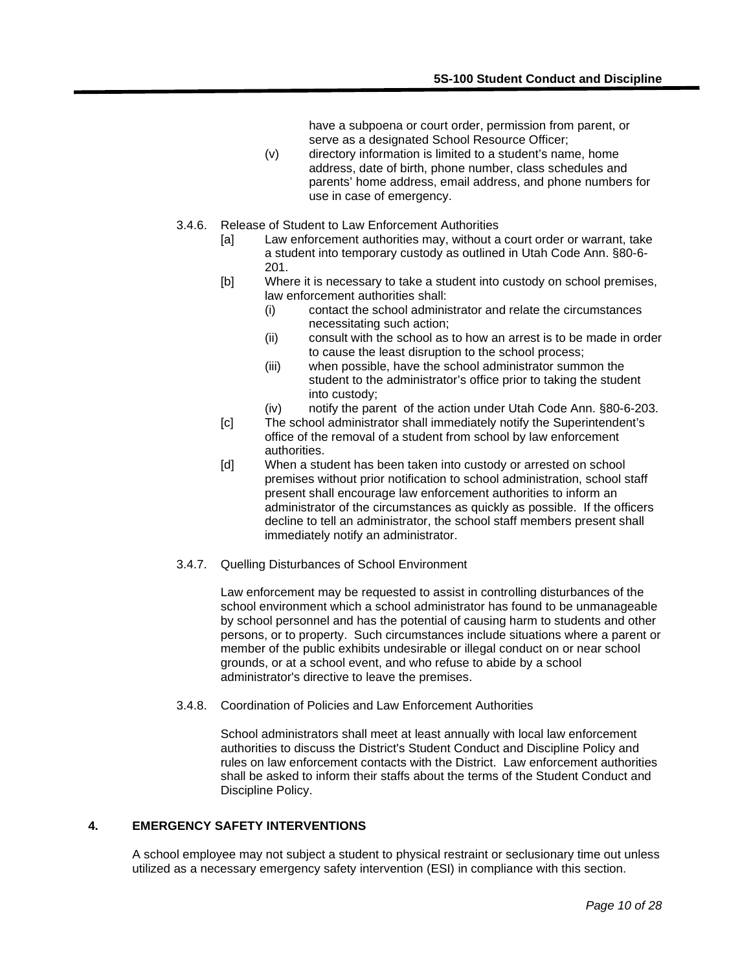have a subpoena or court order, permission from parent, or serve as a designated School Resource Officer;

- (v) directory information is limited to a student's name, home address, date of birth, phone number, class schedules and parents' home address, email address, and phone numbers for use in case of emergency.
- 3.4.6. Release of Student to Law Enforcement Authorities
	- [a] Law enforcement authorities may, without a court order or warrant, take a student into temporary custody as outlined in Utah Code Ann. §80-6- 201.
	- [b] Where it is necessary to take a student into custody on school premises, law enforcement authorities shall:
		- (i) contact the school administrator and relate the circumstances necessitating such action;
		- (ii) consult with the school as to how an arrest is to be made in order to cause the least disruption to the school process;
		- (iii) when possible, have the school administrator summon the student to the administrator's office prior to taking the student into custody;
		- (iv) notify the parent of the action under Utah Code Ann. §80-6-203.
	- [c] The school administrator shall immediately notify the Superintendent's office of the removal of a student from school by law enforcement authorities.
	- [d] When a student has been taken into custody or arrested on school premises without prior notification to school administration, school staff present shall encourage law enforcement authorities to inform an administrator of the circumstances as quickly as possible. If the officers decline to tell an administrator, the school staff members present shall immediately notify an administrator.
- 3.4.7. Quelling Disturbances of School Environment

Law enforcement may be requested to assist in controlling disturbances of the school environment which a school administrator has found to be unmanageable by school personnel and has the potential of causing harm to students and other persons, or to property. Such circumstances include situations where a parent or member of the public exhibits undesirable or illegal conduct on or near school grounds, or at a school event, and who refuse to abide by a school administrator's directive to leave the premises.

3.4.8. Coordination of Policies and Law Enforcement Authorities

School administrators shall meet at least annually with local law enforcement authorities to discuss the District's Student Conduct and Discipline Policy and rules on law enforcement contacts with the District. Law enforcement authorities shall be asked to inform their staffs about the terms of the Student Conduct and Discipline Policy.

## **4. EMERGENCY SAFETY INTERVENTIONS**

A school employee may not subject a student to physical restraint or seclusionary time out unless utilized as a necessary emergency safety intervention (ESI) in compliance with this section.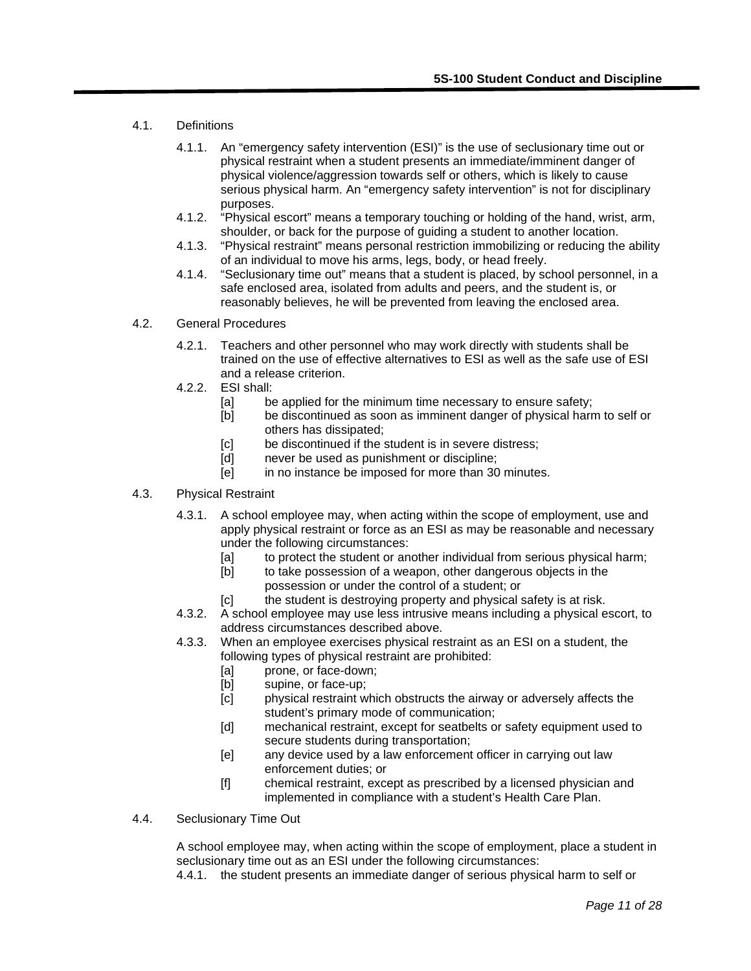- 4.1. Definitions
	- 4.1.1. An "emergency safety intervention (ESI)" is the use of seclusionary time out or physical restraint when a student presents an immediate/imminent danger of physical violence/aggression towards self or others, which is likely to cause serious physical harm. An "emergency safety intervention" is not for disciplinary purposes.
	- 4.1.2. "Physical escort" means a temporary touching or holding of the hand, wrist, arm, shoulder, or back for the purpose of guiding a student to another location.
	- 4.1.3. "Physical restraint" means personal restriction immobilizing or reducing the ability of an individual to move his arms, legs, body, or head freely.
	- 4.1.4. "Seclusionary time out" means that a student is placed, by school personnel, in a safe enclosed area, isolated from adults and peers, and the student is, or reasonably believes, he will be prevented from leaving the enclosed area.
- 4.2. General Procedures
	- 4.2.1. Teachers and other personnel who may work directly with students shall be trained on the use of effective alternatives to ESI as well as the safe use of ESI and a release criterion.
	- 4.2.2. ESI shall:
		- [a] be applied for the minimum time necessary to ensure safety;
		- [b] be discontinued as soon as imminent danger of physical harm to self or others has dissipated;
		- [c] be discontinued if the student is in severe distress;
		- [d] never be used as punishment or discipline;
		- [e] in no instance be imposed for more than 30 minutes.
- 4.3. Physical Restraint
	- 4.3.1. A school employee may, when acting within the scope of employment, use and apply physical restraint or force as an ESI as may be reasonable and necessary under the following circumstances:
		- [a] to protect the student or another individual from serious physical harm;
		- [b] to take possession of a weapon, other dangerous objects in the possession or under the control of a student; or
		- [c] the student is destroying property and physical safety is at risk.
	- 4.3.2. A school employee may use less intrusive means including a physical escort, to address circumstances described above.
	- 4.3.3. When an employee exercises physical restraint as an ESI on a student, the following types of physical restraint are prohibited:
		- [a] prone, or face-down;
		- [b] supine, or face-up;
		- [c] physical restraint which obstructs the airway or adversely affects the student's primary mode of communication;
		- [d] mechanical restraint, except for seatbelts or safety equipment used to secure students during transportation;
		- [e] any device used by a law enforcement officer in carrying out law enforcement duties; or
		- [f] chemical restraint, except as prescribed by a licensed physician and implemented in compliance with a student's Health Care Plan.
- 4.4. Seclusionary Time Out

A school employee may, when acting within the scope of employment, place a student in seclusionary time out as an ESI under the following circumstances:

4.4.1. the student presents an immediate danger of serious physical harm to self or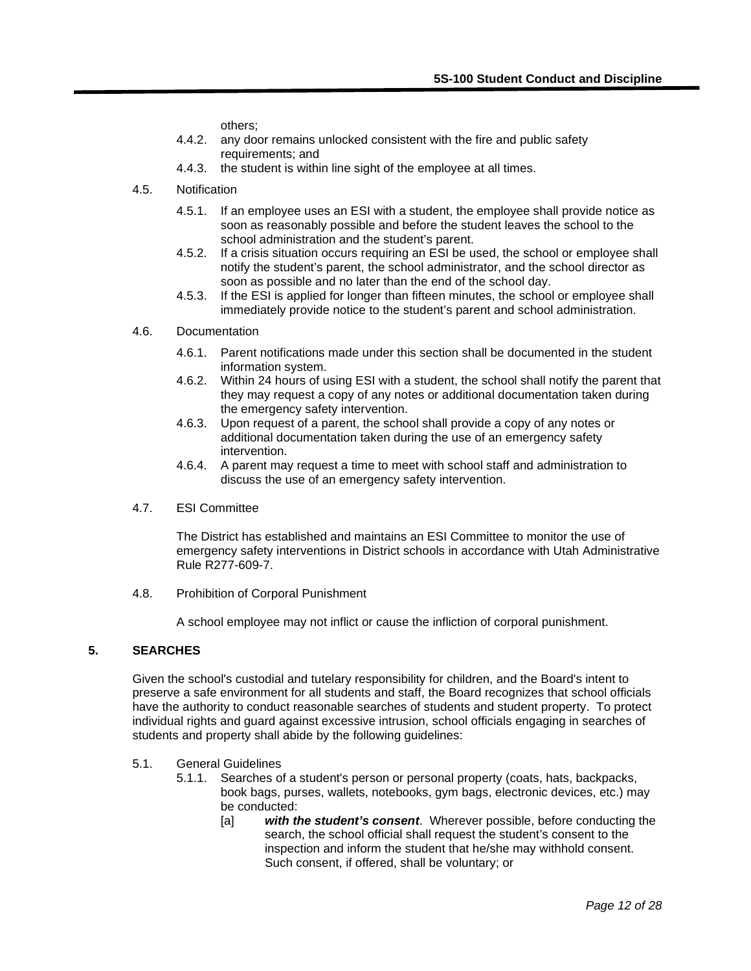others;

- 4.4.2. any door remains unlocked consistent with the fire and public safety requirements; and
- 4.4.3. the student is within line sight of the employee at all times.
- 4.5. Notification
	- 4.5.1. If an employee uses an ESI with a student, the employee shall provide notice as soon as reasonably possible and before the student leaves the school to the school administration and the student's parent.
	- 4.5.2. If a crisis situation occurs requiring an ESI be used, the school or employee shall notify the student's parent, the school administrator, and the school director as soon as possible and no later than the end of the school day.
	- 4.5.3. If the ESI is applied for longer than fifteen minutes, the school or employee shall immediately provide notice to the student's parent and school administration.

## 4.6. Documentation

- 4.6.1. Parent notifications made under this section shall be documented in the student information system.
- 4.6.2. Within 24 hours of using ESI with a student, the school shall notify the parent that they may request a copy of any notes or additional documentation taken during the emergency safety intervention.
- 4.6.3. Upon request of a parent, the school shall provide a copy of any notes or additional documentation taken during the use of an emergency safety intervention.
- 4.6.4. A parent may request a time to meet with school staff and administration to discuss the use of an emergency safety intervention.
- 4.7. ESI Committee

The District has established and maintains an ESI Committee to monitor the use of emergency safety interventions in District schools in accordance with Utah Administrative Rule R277-609-7.

4.8. Prohibition of Corporal Punishment

A school employee may not inflict or cause the infliction of corporal punishment.

## **5. SEARCHES**

Given the school's custodial and tutelary responsibility for children, and the Board's intent to preserve a safe environment for all students and staff, the Board recognizes that school officials have the authority to conduct reasonable searches of students and student property. To protect individual rights and guard against excessive intrusion, school officials engaging in searches of students and property shall abide by the following guidelines:

- 5.1. General Guidelines
	- 5.1.1. Searches of a student's person or personal property (coats, hats, backpacks, book bags, purses, wallets, notebooks, gym bags, electronic devices, etc.) may be conducted:
		- [a] *with the student's consent*. Wherever possible, before conducting the search, the school official shall request the student's consent to the inspection and inform the student that he/she may withhold consent. Such consent, if offered, shall be voluntary; or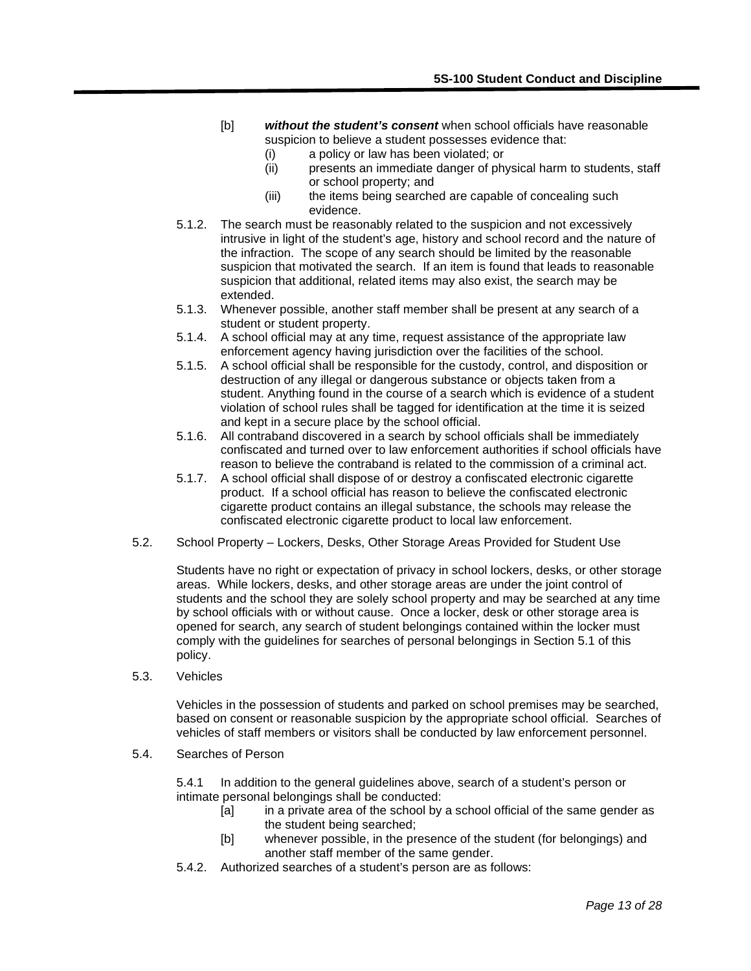- [b] *without the student's consent* when school officials have reasonable suspicion to believe a student possesses evidence that:
	- (i) a policy or law has been violated; or
	- (ii) presents an immediate danger of physical harm to students, staff or school property; and
	- (iii) the items being searched are capable of concealing such evidence.
- 5.1.2. The search must be reasonably related to the suspicion and not excessively intrusive in light of the student's age, history and school record and the nature of the infraction. The scope of any search should be limited by the reasonable suspicion that motivated the search. If an item is found that leads to reasonable suspicion that additional, related items may also exist, the search may be extended.
- 5.1.3. Whenever possible, another staff member shall be present at any search of a student or student property.
- 5.1.4. A school official may at any time, request assistance of the appropriate law enforcement agency having jurisdiction over the facilities of the school.
- 5.1.5. A school official shall be responsible for the custody, control, and disposition or destruction of any illegal or dangerous substance or objects taken from a student. Anything found in the course of a search which is evidence of a student violation of school rules shall be tagged for identification at the time it is seized and kept in a secure place by the school official.
- 5.1.6. All contraband discovered in a search by school officials shall be immediately confiscated and turned over to law enforcement authorities if school officials have reason to believe the contraband is related to the commission of a criminal act.
- 5.1.7. A school official shall dispose of or destroy a confiscated electronic cigarette product. If a school official has reason to believe the confiscated electronic cigarette product contains an illegal substance, the schools may release the confiscated electronic cigarette product to local law enforcement.
- 5.2. School Property Lockers, Desks, Other Storage Areas Provided for Student Use

Students have no right or expectation of privacy in school lockers, desks, or other storage areas. While lockers, desks, and other storage areas are under the joint control of students and the school they are solely school property and may be searched at any time by school officials with or without cause. Once a locker, desk or other storage area is opened for search, any search of student belongings contained within the locker must comply with the guidelines for searches of personal belongings in Section 5.1 of this policy.

5.3. Vehicles

Vehicles in the possession of students and parked on school premises may be searched, based on consent or reasonable suspicion by the appropriate school official. Searches of vehicles of staff members or visitors shall be conducted by law enforcement personnel.

5.4. Searches of Person

5.4.1 In addition to the general guidelines above, search of a student's person or intimate personal belongings shall be conducted:

- [a] in a private area of the school by a school official of the same gender as the student being searched;
- [b] whenever possible, in the presence of the student (for belongings) and another staff member of the same gender.
- 5.4.2. Authorized searches of a student's person are as follows: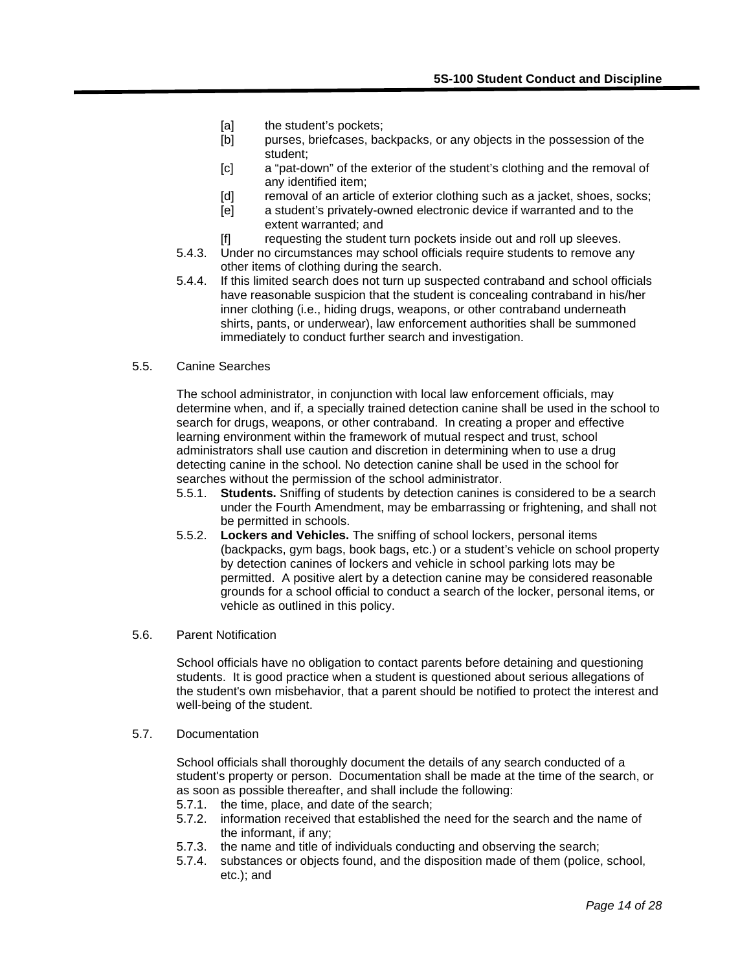- [a] the student's pockets;
- [b] purses, briefcases, backpacks, or any objects in the possession of the student;
- [c] a "pat-down" of the exterior of the student's clothing and the removal of any identified item;
- [d] removal of an article of exterior clothing such as a jacket, shoes, socks;
- [e] a student's privately-owned electronic device if warranted and to the extent warranted; and
- [f] requesting the student turn pockets inside out and roll up sleeves.
- 5.4.3. Under no circumstances may school officials require students to remove any other items of clothing during the search.
- 5.4.4. If this limited search does not turn up suspected contraband and school officials have reasonable suspicion that the student is concealing contraband in his/her inner clothing (i.e., hiding drugs, weapons, or other contraband underneath shirts, pants, or underwear), law enforcement authorities shall be summoned immediately to conduct further search and investigation.

#### 5.5. Canine Searches

The school administrator, in conjunction with local law enforcement officials, may determine when, and if, a specially trained detection canine shall be used in the school to search for drugs, weapons, or other contraband. In creating a proper and effective learning environment within the framework of mutual respect and trust, school administrators shall use caution and discretion in determining when to use a drug detecting canine in the school. No detection canine shall be used in the school for searches without the permission of the school administrator.

- 5.5.1. **Students.** Sniffing of students by detection canines is considered to be a search under the Fourth Amendment, may be embarrassing or frightening, and shall not be permitted in schools.
- 5.5.2. **Lockers and Vehicles.** The sniffing of school lockers, personal items (backpacks, gym bags, book bags, etc.) or a student's vehicle on school property by detection canines of lockers and vehicle in school parking lots may be permitted. A positive alert by a detection canine may be considered reasonable grounds for a school official to conduct a search of the locker, personal items, or vehicle as outlined in this policy.

#### 5.6. Parent Notification

School officials have no obligation to contact parents before detaining and questioning students. It is good practice when a student is questioned about serious allegations of the student's own misbehavior, that a parent should be notified to protect the interest and well-being of the student.

#### 5.7. Documentation

School officials shall thoroughly document the details of any search conducted of a student's property or person. Documentation shall be made at the time of the search, or as soon as possible thereafter, and shall include the following:

- 5.7.1. the time, place, and date of the search;
- 5.7.2. information received that established the need for the search and the name of the informant, if any;
- 5.7.3. the name and title of individuals conducting and observing the search;
- 5.7.4. substances or objects found, and the disposition made of them (police, school, etc.); and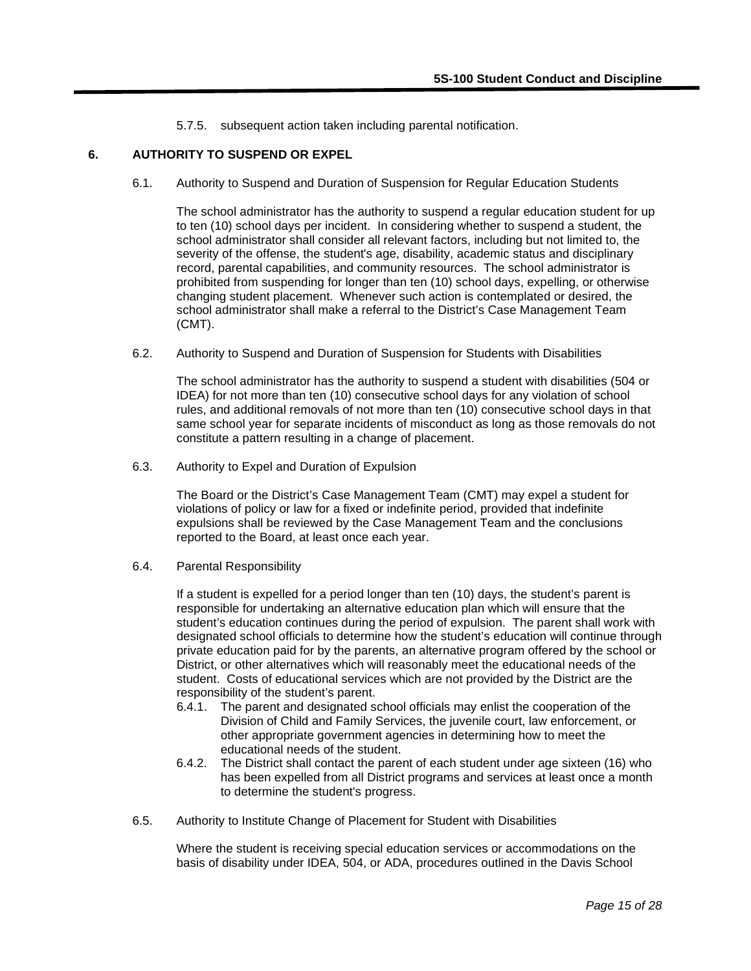5.7.5. subsequent action taken including parental notification.

## **6. AUTHORITY TO SUSPEND OR EXPEL**

6.1. Authority to Suspend and Duration of Suspension for Regular Education Students

The school administrator has the authority to suspend a regular education student for up to ten (10) school days per incident. In considering whether to suspend a student, the school administrator shall consider all relevant factors, including but not limited to, the severity of the offense, the student's age, disability, academic status and disciplinary record, parental capabilities, and community resources. The school administrator is prohibited from suspending for longer than ten (10) school days, expelling, or otherwise changing student placement. Whenever such action is contemplated or desired, the school administrator shall make a referral to the District's Case Management Team (CMT).

6.2. Authority to Suspend and Duration of Suspension for Students with Disabilities

The school administrator has the authority to suspend a student with disabilities (504 or IDEA) for not more than ten (10) consecutive school days for any violation of school rules, and additional removals of not more than ten (10) consecutive school days in that same school year for separate incidents of misconduct as long as those removals do not constitute a pattern resulting in a change of placement.

6.3. Authority to Expel and Duration of Expulsion

The Board or the District's Case Management Team (CMT) may expel a student for violations of policy or law for a fixed or indefinite period, provided that indefinite expulsions shall be reviewed by the Case Management Team and the conclusions reported to the Board, at least once each year.

6.4. Parental Responsibility

If a student is expelled for a period longer than ten (10) days, the student's parent is responsible for undertaking an alternative education plan which will ensure that the student's education continues during the period of expulsion. The parent shall work with designated school officials to determine how the student's education will continue through private education paid for by the parents, an alternative program offered by the school or District, or other alternatives which will reasonably meet the educational needs of the student. Costs of educational services which are not provided by the District are the responsibility of the student's parent.

- 6.4.1. The parent and designated school officials may enlist the cooperation of the Division of Child and Family Services, the juvenile court, law enforcement, or other appropriate government agencies in determining how to meet the educational needs of the student.
- 6.4.2. The District shall contact the parent of each student under age sixteen (16) who has been expelled from all District programs and services at least once a month to determine the student's progress.
- 6.5. Authority to Institute Change of Placement for Student with Disabilities

Where the student is receiving special education services or accommodations on the basis of disability under IDEA, 504, or ADA, procedures outlined in the Davis School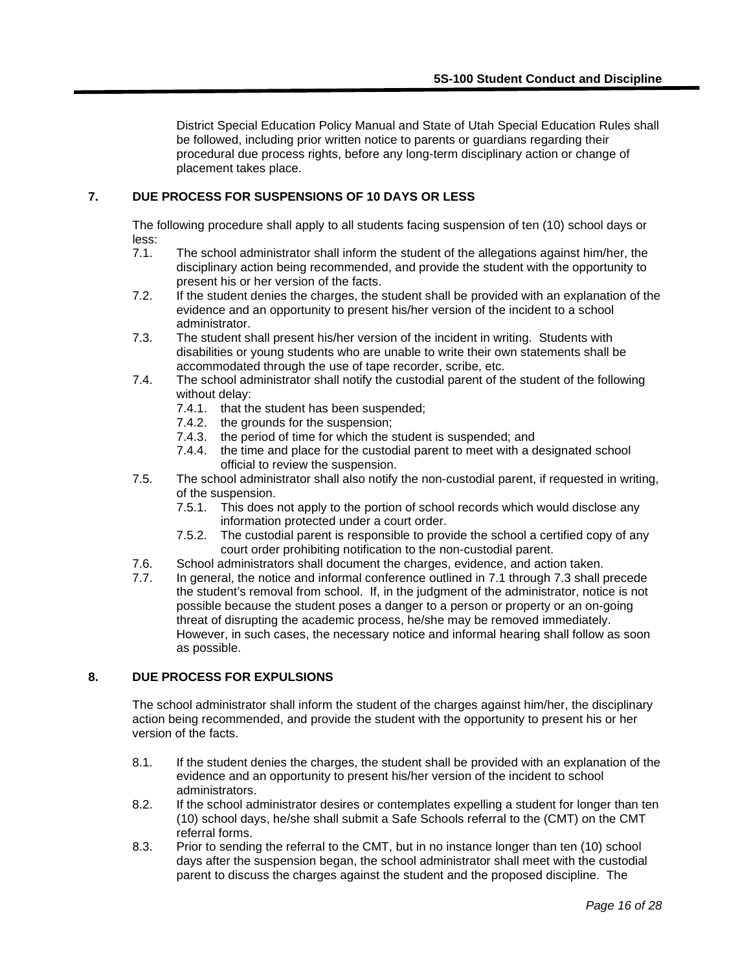District Special Education Policy Manual and State of Utah Special Education Rules shall be followed, including prior written notice to parents or guardians regarding their procedural due process rights, before any long-term disciplinary action or change of placement takes place.

## **7. DUE PROCESS FOR SUSPENSIONS OF 10 DAYS OR LESS**

The following procedure shall apply to all students facing suspension of ten (10) school days or less:

- 7.1. The school administrator shall inform the student of the allegations against him/her, the disciplinary action being recommended, and provide the student with the opportunity to present his or her version of the facts.
- 7.2. If the student denies the charges, the student shall be provided with an explanation of the evidence and an opportunity to present his/her version of the incident to a school administrator.
- 7.3. The student shall present his/her version of the incident in writing. Students with disabilities or young students who are unable to write their own statements shall be accommodated through the use of tape recorder, scribe, etc.
- 7.4. The school administrator shall notify the custodial parent of the student of the following without delay:
	- 7.4.1. that the student has been suspended;
	- 7.4.2. the grounds for the suspension;
	- 7.4.3. the period of time for which the student is suspended; and
	- 7.4.4. the time and place for the custodial parent to meet with a designated school official to review the suspension.
- 7.5. The school administrator shall also notify the non-custodial parent, if requested in writing, of the suspension.
	- 7.5.1. This does not apply to the portion of school records which would disclose any information protected under a court order.
	- 7.5.2. The custodial parent is responsible to provide the school a certified copy of any court order prohibiting notification to the non-custodial parent.
- 7.6. School administrators shall document the charges, evidence, and action taken.
- 7.7. In general, the notice and informal conference outlined in 7.1 through 7.3 shall precede the student's removal from school. If, in the judgment of the administrator, notice is not possible because the student poses a danger to a person or property or an on-going threat of disrupting the academic process, he/she may be removed immediately. However, in such cases, the necessary notice and informal hearing shall follow as soon as possible.

## **8. DUE PROCESS FOR EXPULSIONS**

The school administrator shall inform the student of the charges against him/her, the disciplinary action being recommended, and provide the student with the opportunity to present his or her version of the facts.

- 8.1. If the student denies the charges, the student shall be provided with an explanation of the evidence and an opportunity to present his/her version of the incident to school administrators.
- 8.2. If the school administrator desires or contemplates expelling a student for longer than ten (10) school days, he/she shall submit a Safe Schools referral to the (CMT) on the CMT referral forms.
- 8.3. Prior to sending the referral to the CMT, but in no instance longer than ten (10) school days after the suspension began, the school administrator shall meet with the custodial parent to discuss the charges against the student and the proposed discipline. The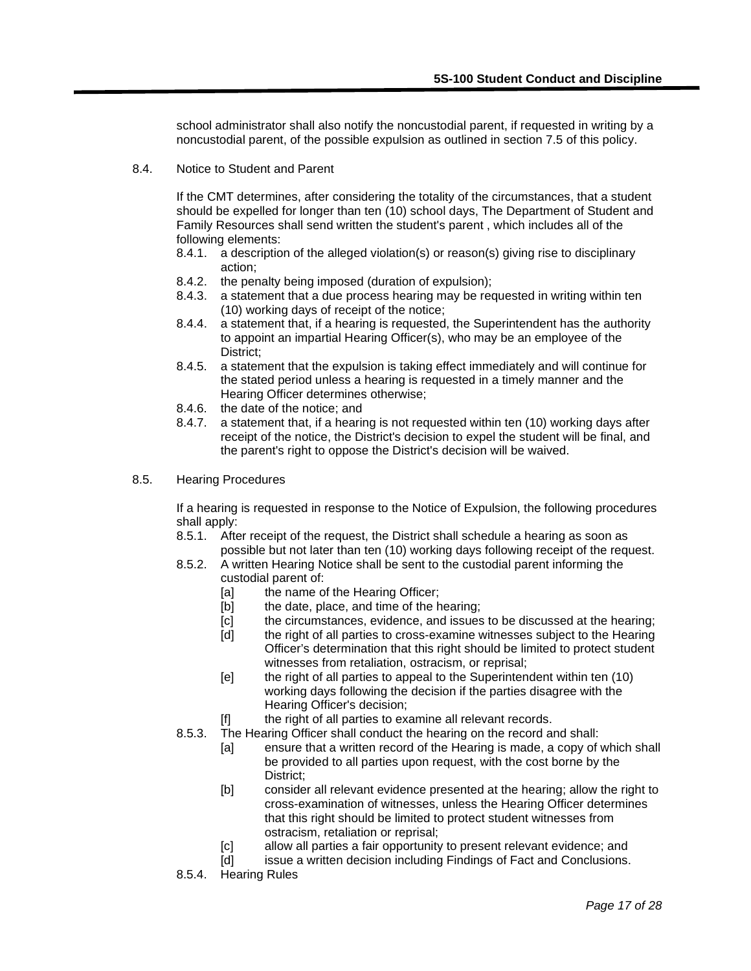school administrator shall also notify the noncustodial parent, if requested in writing by a noncustodial parent, of the possible expulsion as outlined in section 7.5 of this policy.

8.4. Notice to Student and Parent

If the CMT determines, after considering the totality of the circumstances, that a student should be expelled for longer than ten (10) school days, The Department of Student and Family Resources shall send written the student's parent , which includes all of the following elements:

- 8.4.1. a description of the alleged violation(s) or reason(s) giving rise to disciplinary action;
- 8.4.2. the penalty being imposed (duration of expulsion);
- 8.4.3. a statement that a due process hearing may be requested in writing within ten (10) working days of receipt of the notice;
- 8.4.4. a statement that, if a hearing is requested, the Superintendent has the authority to appoint an impartial Hearing Officer(s), who may be an employee of the District;
- 8.4.5. a statement that the expulsion is taking effect immediately and will continue for the stated period unless a hearing is requested in a timely manner and the Hearing Officer determines otherwise;
- 8.4.6. the date of the notice; and
- 8.4.7. a statement that, if a hearing is not requested within ten (10) working days after receipt of the notice, the District's decision to expel the student will be final, and the parent's right to oppose the District's decision will be waived.
- 8.5. Hearing Procedures

If a hearing is requested in response to the Notice of Expulsion, the following procedures shall apply:

- 8.5.1. After receipt of the request, the District shall schedule a hearing as soon as possible but not later than ten (10) working days following receipt of the request.
- 8.5.2. A written Hearing Notice shall be sent to the custodial parent informing the custodial parent of:
	- [a] the name of the Hearing Officer;<br>[b] the date, place, and time of the h
	- the date, place, and time of the hearing;
	- [c] the circumstances, evidence, and issues to be discussed at the hearing;
	- [d] the right of all parties to cross-examine witnesses subject to the Hearing Officer's determination that this right should be limited to protect student witnesses from retaliation, ostracism, or reprisal;
	- [e] the right of all parties to appeal to the Superintendent within ten (10) working days following the decision if the parties disagree with the Hearing Officer's decision;
	- [f] the right of all parties to examine all relevant records.
- 8.5.3. The Hearing Officer shall conduct the hearing on the record and shall:
	- [a] ensure that a written record of the Hearing is made, a copy of which shall be provided to all parties upon request, with the cost borne by the District;
	- [b] consider all relevant evidence presented at the hearing; allow the right to cross-examination of witnesses, unless the Hearing Officer determines that this right should be limited to protect student witnesses from ostracism, retaliation or reprisal;
	- [c] allow all parties a fair opportunity to present relevant evidence; and<br>[d] issue a written decision including Findings of Fact and Conclusions.
	- issue a written decision including Findings of Fact and Conclusions.
- 8.5.4. Hearing Rules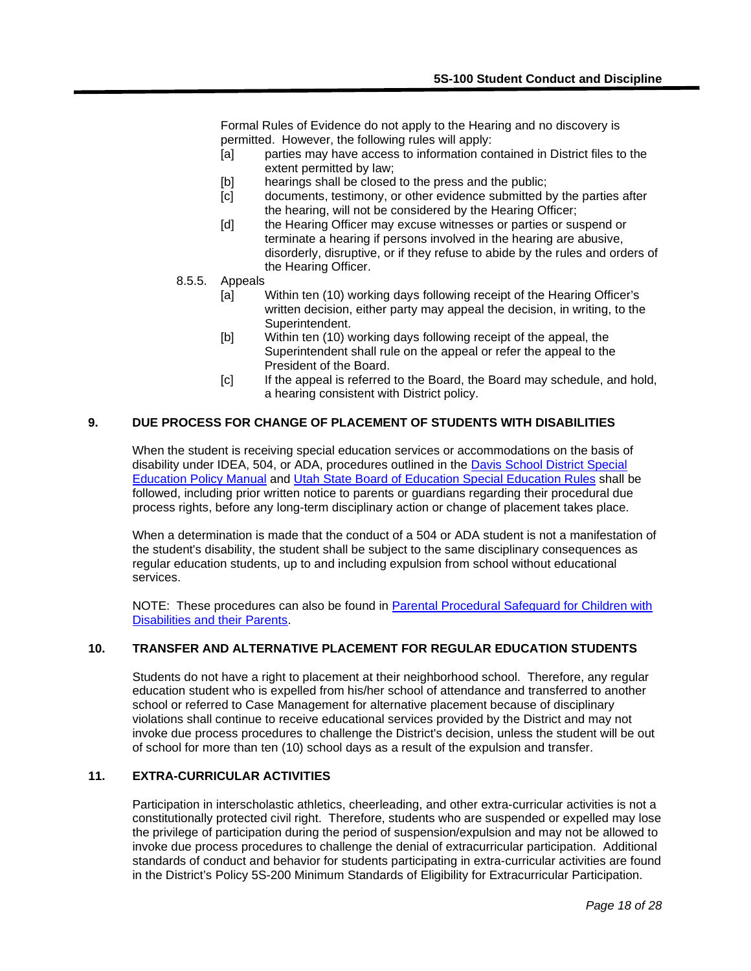Formal Rules of Evidence do not apply to the Hearing and no discovery is permitted. However, the following rules will apply:

- [a] parties may have access to information contained in District files to the extent permitted by law;
- [b] hearings shall be closed to the press and the public;
- [c] documents, testimony, or other evidence submitted by the parties after the hearing, will not be considered by the Hearing Officer;
- [d] the Hearing Officer may excuse witnesses or parties or suspend or terminate a hearing if persons involved in the hearing are abusive, disorderly, disruptive, or if they refuse to abide by the rules and orders of the Hearing Officer.
- 8.5.5. Appeals
	- [a] Within ten (10) working days following receipt of the Hearing Officer's written decision, either party may appeal the decision, in writing, to the Superintendent.
	- [b] Within ten (10) working days following receipt of the appeal, the Superintendent shall rule on the appeal or refer the appeal to the President of the Board.
	- [c] If the appeal is referred to the Board, the Board may schedule, and hold, a hearing consistent with District policy.

## **9. DUE PROCESS FOR CHANGE OF PLACEMENT OF STUDENTS WITH DISABILITIES**

When the student is receiving special education services or accommodations on the basis of disability under IDEA, 504, or ADA, procedures outlined in the [Davis School District](http://www.davis.k12.ut.us/sped/policies%20and%20procedures/dsdpolicies09.pdf) Special [Education Policy Manual](http://www.davis.k12.ut.us/sped/policies%20and%20procedures/dsdpolicies09.pdf) and [Utah State Board of Education Special Education Rules](http://www.schools.utah.gov/sars/Laws,-State-Rules-and-Policies/Rules-and-Regulations.aspx) shall be followed, including prior written notice to parents or guardians regarding their procedural due process rights, before any long-term disciplinary action or change of placement takes place.

When a determination is made that the conduct of a 504 or ADA student is not a manifestation of the student's disability, the student shall be subject to the same disciplinary consequences as regular education students, up to and including expulsion from school without educational services.

NOTE: These procedures can also be found in [Parental Procedural Safeguard for Children with](http://www.davis.k12.ut.us/sped/PPSG/English%2009.pdf)  [Disabilities and their Parents.](http://www.davis.k12.ut.us/sped/PPSG/English%2009.pdf)

## **10. TRANSFER AND ALTERNATIVE PLACEMENT FOR REGULAR EDUCATION STUDENTS**

Students do not have a right to placement at their neighborhood school. Therefore, any regular education student who is expelled from his/her school of attendance and transferred to another school or referred to Case Management for alternative placement because of disciplinary violations shall continue to receive educational services provided by the District and may not invoke due process procedures to challenge the District's decision, unless the student will be out of school for more than ten (10) school days as a result of the expulsion and transfer.

# **11. EXTRA-CURRICULAR ACTIVITIES**

Participation in interscholastic athletics, cheerleading, and other extra-curricular activities is not a constitutionally protected civil right. Therefore, students who are suspended or expelled may lose the privilege of participation during the period of suspension/expulsion and may not be allowed to invoke due process procedures to challenge the denial of extracurricular participation. Additional standards of conduct and behavior for students participating in extra-curricular activities are found in the District's Policy 5S-200 Minimum Standards of Eligibility for Extracurricular Participation.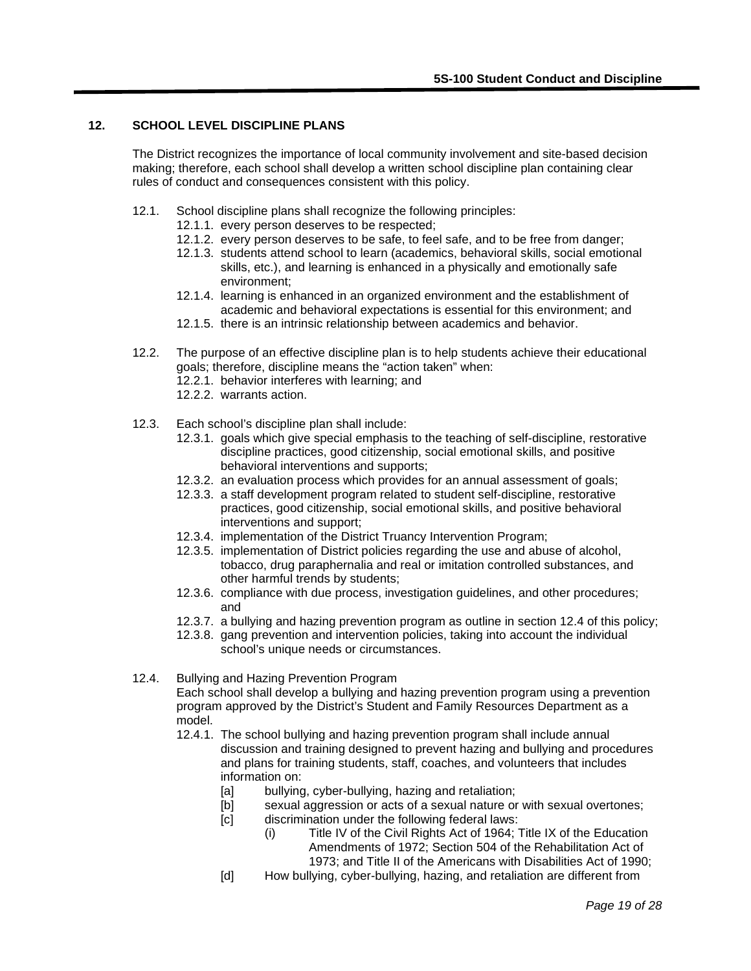# **12. SCHOOL LEVEL DISCIPLINE PLANS**

The District recognizes the importance of local community involvement and site-based decision making; therefore, each school shall develop a written school discipline plan containing clear rules of conduct and consequences consistent with this policy.

- 12.1. School discipline plans shall recognize the following principles:
	- 12.1.1. every person deserves to be respected;
	- 12.1.2. every person deserves to be safe, to feel safe, and to be free from danger;
	- 12.1.3. students attend school to learn (academics, behavioral skills, social emotional skills, etc.), and learning is enhanced in a physically and emotionally safe environment;
	- 12.1.4. learning is enhanced in an organized environment and the establishment of academic and behavioral expectations is essential for this environment; and
	- 12.1.5. there is an intrinsic relationship between academics and behavior.
- 12.2. The purpose of an effective discipline plan is to help students achieve their educational goals; therefore, discipline means the "action taken" when:
	- 12.2.1. behavior interferes with learning; and
	- 12.2.2. warrants action.
- 12.3. Each school's discipline plan shall include:
	- 12.3.1. goals which give special emphasis to the teaching of self-discipline, restorative discipline practices, good citizenship, social emotional skills, and positive behavioral interventions and supports;
	- 12.3.2. an evaluation process which provides for an annual assessment of goals;
	- 12.3.3. a staff development program related to student self-discipline, restorative practices, good citizenship, social emotional skills, and positive behavioral interventions and support;
	- 12.3.4. implementation of the District Truancy Intervention Program;
	- 12.3.5. implementation of District policies regarding the use and abuse of alcohol, tobacco, drug paraphernalia and real or imitation controlled substances, and other harmful trends by students;
	- 12.3.6. compliance with due process, investigation guidelines, and other procedures; and
	- 12.3.7. a bullying and hazing prevention program as outline in section 12.4 of this policy;
	- 12.3.8. gang prevention and intervention policies, taking into account the individual school's unique needs or circumstances.
- 12.4. Bullying and Hazing Prevention Program

Each school shall develop a bullying and hazing prevention program using a prevention program approved by the District's Student and Family Resources Department as a model.

- 12.4.1. The school bullying and hazing prevention program shall include annual discussion and training designed to prevent hazing and bullying and procedures and plans for training students, staff, coaches, and volunteers that includes information on:
	- [a] bullying, cyber-bullying, hazing and retaliation;
	- [b] sexual aggression or acts of a sexual nature or with sexual overtones;
	- [c] discrimination under the following federal laws:
		- (i) Title IV of the Civil Rights Act of 1964; Title IX of the Education Amendments of 1972; Section 504 of the Rehabilitation Act of 1973; and Title II of the Americans with Disabilities Act of 1990;
	- [d] How bullying, cyber-bullying, hazing, and retaliation are different from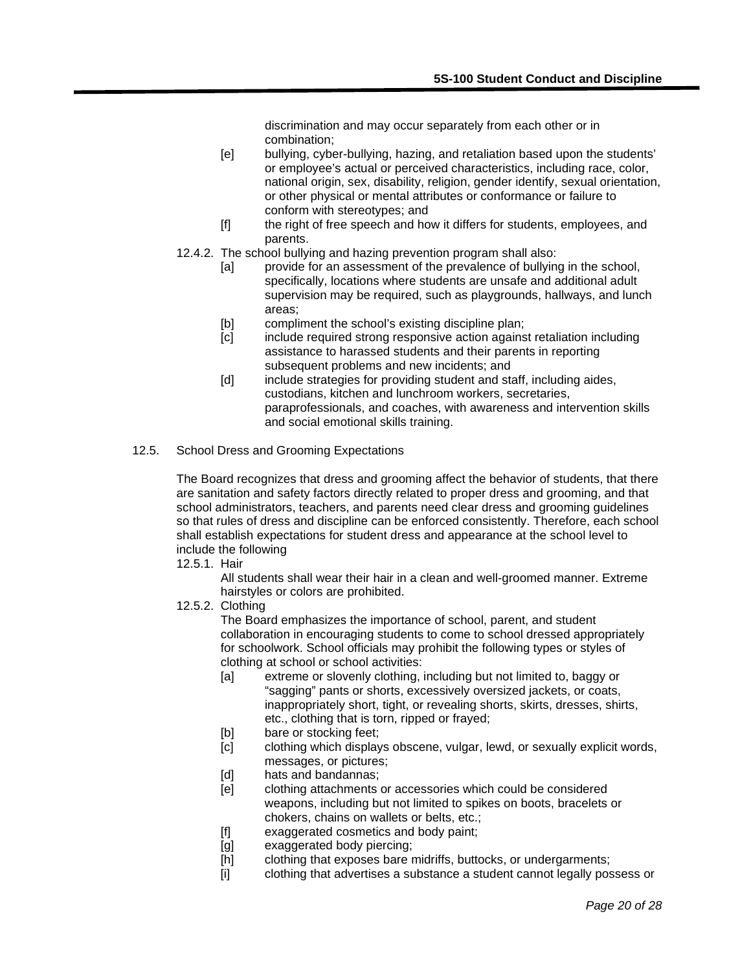discrimination and may occur separately from each other or in combination;

- [e] bullying, cyber-bullying, hazing, and retaliation based upon the students' or employee's actual or perceived characteristics, including race, color, national origin, sex, disability, religion, gender identify, sexual orientation, or other physical or mental attributes or conformance or failure to conform with stereotypes; and
- [f] the right of free speech and how it differs for students, employees, and parents.
- 12.4.2. The school bullying and hazing prevention program shall also:
	- [a] provide for an assessment of the prevalence of bullying in the school, specifically, locations where students are unsafe and additional adult supervision may be required, such as playgrounds, hallways, and lunch areas;
	- [b] compliment the school's existing discipline plan;
	- [c] include required strong responsive action against retaliation including assistance to harassed students and their parents in reporting subsequent problems and new incidents; and
	- [d] include strategies for providing student and staff, including aides, custodians, kitchen and lunchroom workers, secretaries, paraprofessionals, and coaches, with awareness and intervention skills and social emotional skills training.
- 12.5. School Dress and Grooming Expectations

The Board recognizes that dress and grooming affect the behavior of students, that there are sanitation and safety factors directly related to proper dress and grooming, and that school administrators, teachers, and parents need clear dress and grooming guidelines so that rules of dress and discipline can be enforced consistently. Therefore, each school shall establish expectations for student dress and appearance at the school level to include the following

12.5.1. Hair

All students shall wear their hair in a clean and well-groomed manner. Extreme hairstyles or colors are prohibited.

12.5.2. Clothing

The Board emphasizes the importance of school, parent, and student collaboration in encouraging students to come to school dressed appropriately for schoolwork. School officials may prohibit the following types or styles of clothing at school or school activities:

- [a] extreme or slovenly clothing, including but not limited to, baggy or "sagging" pants or shorts, excessively oversized jackets, or coats, inappropriately short, tight, or revealing shorts, skirts, dresses, shirts, etc., clothing that is torn, ripped or frayed;
- [b] bare or stocking feet;
- [c] clothing which displays obscene, vulgar, lewd, or sexually explicit words, messages, or pictures;
- [d] hats and bandannas;
- [e] clothing attachments or accessories which could be considered weapons, including but not limited to spikes on boots, bracelets or chokers, chains on wallets or belts, etc.;
- [f] exaggerated cosmetics and body paint;
- [g] exaggerated body piercing;
- [h] clothing that exposes bare midriffs, buttocks, or undergarments;
- [i] clothing that advertises a substance a student cannot legally possess or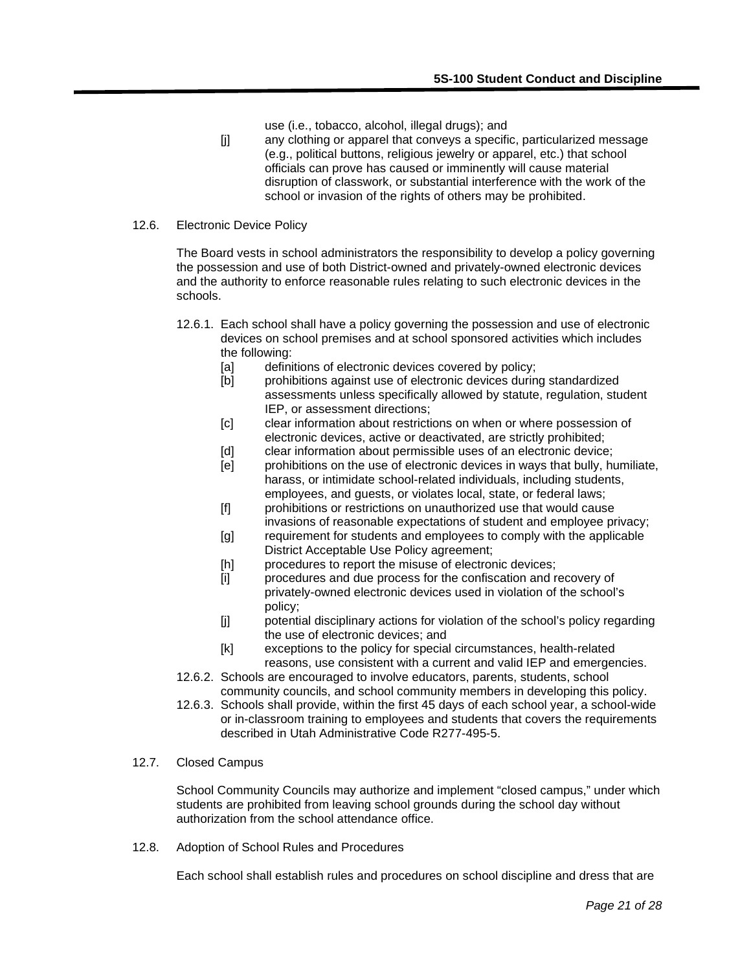- use (i.e., tobacco, alcohol, illegal drugs); and
- [j] any clothing or apparel that conveys a specific, particularized message (e.g., political buttons, religious jewelry or apparel, etc.) that school officials can prove has caused or imminently will cause material disruption of classwork, or substantial interference with the work of the school or invasion of the rights of others may be prohibited.

#### 12.6. Electronic Device Policy

The Board vests in school administrators the responsibility to develop a policy governing the possession and use of both District-owned and privately-owned electronic devices and the authority to enforce reasonable rules relating to such electronic devices in the schools.

- 12.6.1. Each school shall have a policy governing the possession and use of electronic devices on school premises and at school sponsored activities which includes the following:
	- [a] definitions of electronic devices covered by policy;
	- [b] prohibitions against use of electronic devices during standardized assessments unless specifically allowed by statute, regulation, student IEP, or assessment directions;
	- [c] clear information about restrictions on when or where possession of electronic devices, active or deactivated, are strictly prohibited;
	- [d] clear information about permissible uses of an electronic device;
	- [e] prohibitions on the use of electronic devices in ways that bully, humiliate, harass, or intimidate school-related individuals, including students, employees, and guests, or violates local, state, or federal laws;
	- [f] prohibitions or restrictions on unauthorized use that would cause invasions of reasonable expectations of student and employee privacy;
	- [g] requirement for students and employees to comply with the applicable District Acceptable Use Policy agreement;
	- [h] procedures to report the misuse of electronic devices;
	- [i] procedures and due process for the confiscation and recovery of privately-owned electronic devices used in violation of the school's policy;
	- [j] potential disciplinary actions for violation of the school's policy regarding the use of electronic devices; and
	- [k] exceptions to the policy for special circumstances, health-related reasons, use consistent with a current and valid IEP and emergencies.
- 12.6.2. Schools are encouraged to involve educators, parents, students, school community councils, and school community members in developing this policy.
- 12.6.3. Schools shall provide, within the first 45 days of each school year, a school-wide or in-classroom training to employees and students that covers the requirements described in Utah Administrative Code R277-495-5.
- 12.7. Closed Campus

School Community Councils may authorize and implement "closed campus," under which students are prohibited from leaving school grounds during the school day without authorization from the school attendance office.

12.8. Adoption of School Rules and Procedures

Each school shall establish rules and procedures on school discipline and dress that are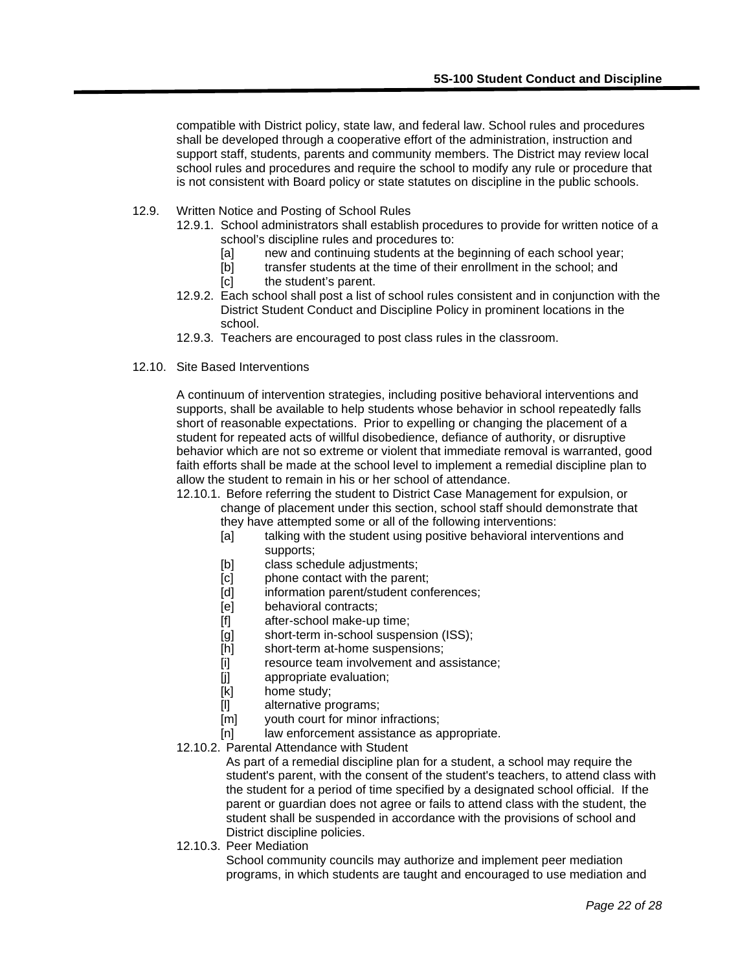compatible with District policy, state law, and federal law. School rules and procedures shall be developed through a cooperative effort of the administration, instruction and support staff, students, parents and community members. The District may review local school rules and procedures and require the school to modify any rule or procedure that is not consistent with Board policy or state statutes on discipline in the public schools.

- 12.9. Written Notice and Posting of School Rules
	- 12.9.1. School administrators shall establish procedures to provide for written notice of a school's discipline rules and procedures to:
		- [a] new and continuing students at the beginning of each school year;
		- [b] transfer students at the time of their enrollment in the school; and
		- [c] the student's parent.
	- 12.9.2. Each school shall post a list of school rules consistent and in conjunction with the District Student Conduct and Discipline Policy in prominent locations in the school.
	- 12.9.3. Teachers are encouraged to post class rules in the classroom.
- 12.10. Site Based Interventions

A continuum of intervention strategies, including positive behavioral interventions and supports, shall be available to help students whose behavior in school repeatedly falls short of reasonable expectations. Prior to expelling or changing the placement of a student for repeated acts of willful disobedience, defiance of authority, or disruptive behavior which are not so extreme or violent that immediate removal is warranted, good faith efforts shall be made at the school level to implement a remedial discipline plan to allow the student to remain in his or her school of attendance.

- 12.10.1. Before referring the student to District Case Management for expulsion, or change of placement under this section, school staff should demonstrate that they have attempted some or all of the following interventions:
	- [a] talking with the student using positive behavioral interventions and supports;
	- [b] class schedule adjustments;
	- [c] phone contact with the parent;
	- [d] information parent/student conferences;<br>[e] behavioral contracts;
	- behavioral contracts;
	- [f] after-school make-up time;
	- [g] short-term in-school suspension (ISS);
	- [h] short-term at-home suspensions;
	- [i] resource team involvement and assistance;
	- [j] appropriate evaluation;
	- [k] home study;
	- [l] alternative programs;
	- [m] youth court for minor infractions;
	- [n] law enforcement assistance as appropriate.
- 12.10.2. Parental Attendance with Student

As part of a remedial discipline plan for a student, a school may require the student's parent, with the consent of the student's teachers, to attend class with the student for a period of time specified by a designated school official. If the parent or guardian does not agree or fails to attend class with the student, the student shall be suspended in accordance with the provisions of school and District discipline policies.

12.10.3. Peer Mediation

School community councils may authorize and implement peer mediation programs, in which students are taught and encouraged to use mediation and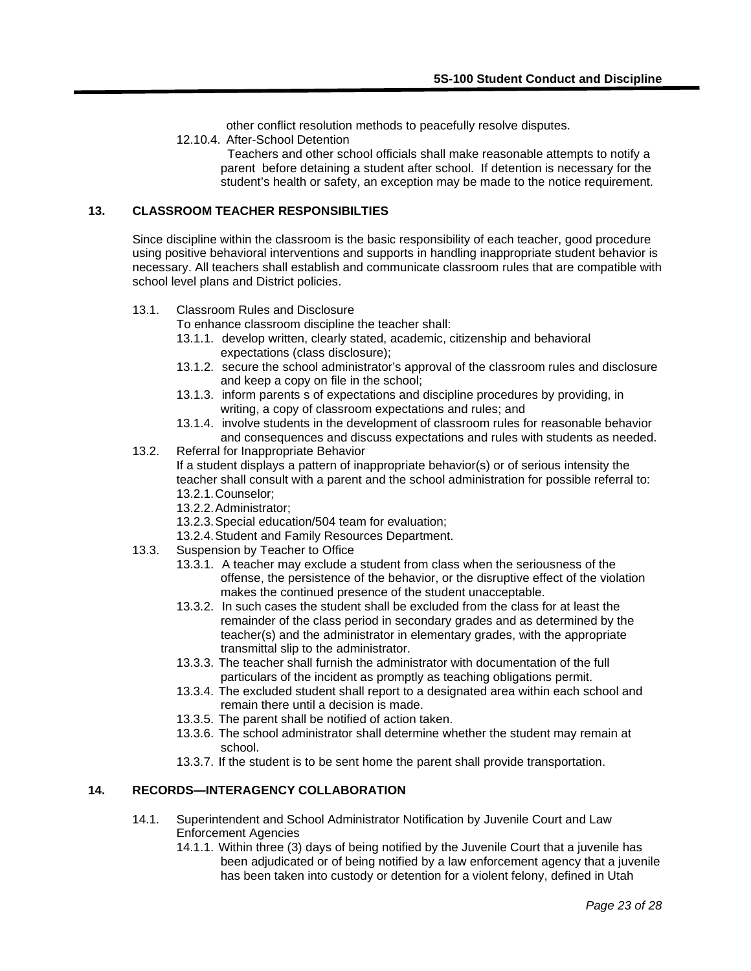other conflict resolution methods to peacefully resolve disputes.

12.10.4. After-School Detention

 Teachers and other school officials shall make reasonable attempts to notify a parent before detaining a student after school. If detention is necessary for the student's health or safety, an exception may be made to the notice requirement.

## **13. CLASSROOM TEACHER RESPONSIBILTIES**

Since discipline within the classroom is the basic responsibility of each teacher, good procedure using positive behavioral interventions and supports in handling inappropriate student behavior is necessary. All teachers shall establish and communicate classroom rules that are compatible with school level plans and District policies.

## 13.1. Classroom Rules and Disclosure

To enhance classroom discipline the teacher shall:

- 13.1.1. develop written, clearly stated, academic, citizenship and behavioral expectations (class disclosure);
- 13.1.2. secure the school administrator's approval of the classroom rules and disclosure and keep a copy on file in the school;
- 13.1.3. inform parents s of expectations and discipline procedures by providing, in writing, a copy of classroom expectations and rules; and
- 13.1.4. involve students in the development of classroom rules for reasonable behavior and consequences and discuss expectations and rules with students as needed.
- 13.2. Referral for Inappropriate Behavior

If a student displays a pattern of inappropriate behavior(s) or of serious intensity the teacher shall consult with a parent and the school administration for possible referral to: 13.2.1.Counselor;

- 13.2.2.Administrator;
- 13.2.3.Special education/504 team for evaluation;
- 13.2.4.Student and Family Resources Department.
- 13.3. Suspension by Teacher to Office
	- 13.3.1. A teacher may exclude a student from class when the seriousness of the offense, the persistence of the behavior, or the disruptive effect of the violation makes the continued presence of the student unacceptable.
	- 13.3.2. In such cases the student shall be excluded from the class for at least the remainder of the class period in secondary grades and as determined by the teacher(s) and the administrator in elementary grades, with the appropriate transmittal slip to the administrator.
	- 13.3.3. The teacher shall furnish the administrator with documentation of the full particulars of the incident as promptly as teaching obligations permit.
	- 13.3.4. The excluded student shall report to a designated area within each school and remain there until a decision is made.
	- 13.3.5. The parent shall be notified of action taken.
	- 13.3.6. The school administrator shall determine whether the student may remain at school.
	- 13.3.7. If the student is to be sent home the parent shall provide transportation.

## **14. RECORDS—INTERAGENCY COLLABORATION**

- 14.1. Superintendent and School Administrator Notification by Juvenile Court and Law Enforcement Agencies
	- 14.1.1. Within three (3) days of being notified by the Juvenile Court that a juvenile has been adjudicated or of being notified by a law enforcement agency that a juvenile has been taken into custody or detention for a violent felony, defined in Utah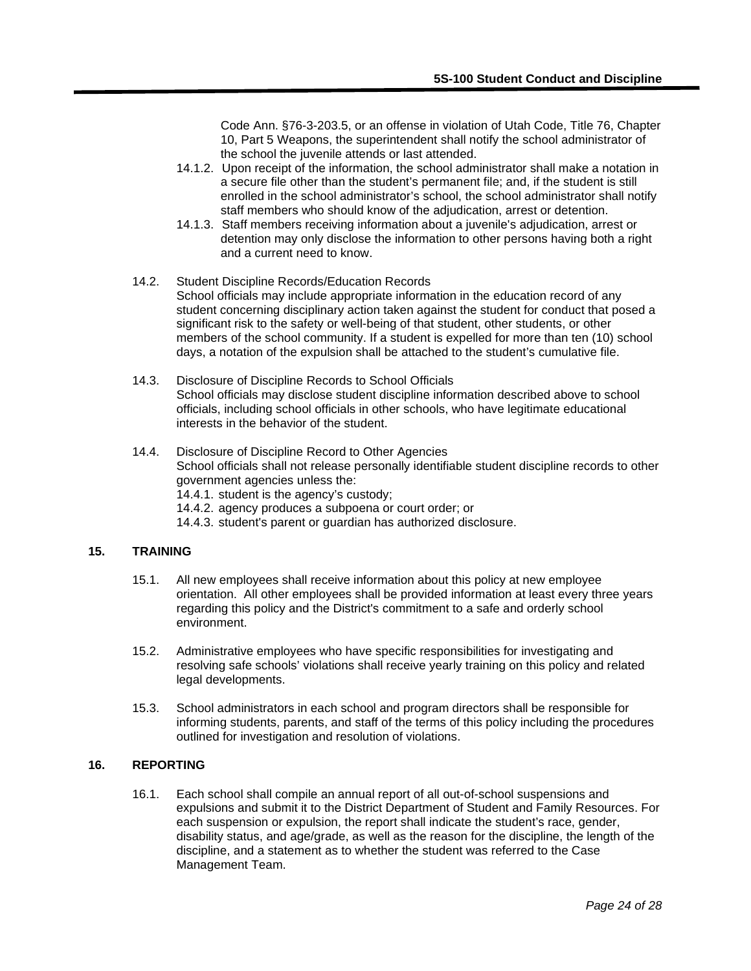Code Ann. §76-3-203.5, or an offense in violation of Utah Code, Title 76, Chapter 10, Part 5 Weapons, the superintendent shall notify the school administrator of the school the juvenile attends or last attended.

- 14.1.2. Upon receipt of the information, the school administrator shall make a notation in a secure file other than the student's permanent file; and, if the student is still enrolled in the school administrator's school, the school administrator shall notify staff members who should know of the adjudication, arrest or detention.
- 14.1.3. Staff members receiving information about a juvenile's adjudication, arrest or detention may only disclose the information to other persons having both a right and a current need to know.
- 14.2. Student Discipline Records/Education Records School officials may include appropriate information in the education record of any student concerning disciplinary action taken against the student for conduct that posed a significant risk to the safety or well-being of that student, other students, or other members of the school community. If a student is expelled for more than ten (10) school days, a notation of the expulsion shall be attached to the student's cumulative file.
- 14.3. Disclosure of Discipline Records to School Officials School officials may disclose student discipline information described above to school officials, including school officials in other schools, who have legitimate educational interests in the behavior of the student.
- 14.4. Disclosure of Discipline Record to Other Agencies School officials shall not release personally identifiable student discipline records to other government agencies unless the: 14.4.1. student is the agency's custody;
	-
	- 14.4.2. agency produces a subpoena or court order; or
	- 14.4.3. student's parent or guardian has authorized disclosure.

## **15. TRAINING**

- 15.1. All new employees shall receive information about this policy at new employee orientation. All other employees shall be provided information at least every three years regarding this policy and the District's commitment to a safe and orderly school environment.
- 15.2. Administrative employees who have specific responsibilities for investigating and resolving safe schools' violations shall receive yearly training on this policy and related legal developments.
- 15.3. School administrators in each school and program directors shall be responsible for informing students, parents, and staff of the terms of this policy including the procedures outlined for investigation and resolution of violations.

# **16. REPORTING**

16.1. Each school shall compile an annual report of all out-of-school suspensions and expulsions and submit it to the District Department of Student and Family Resources. For each suspension or expulsion, the report shall indicate the student's race, gender, disability status, and age/grade, as well as the reason for the discipline, the length of the discipline, and a statement as to whether the student was referred to the Case Management Team.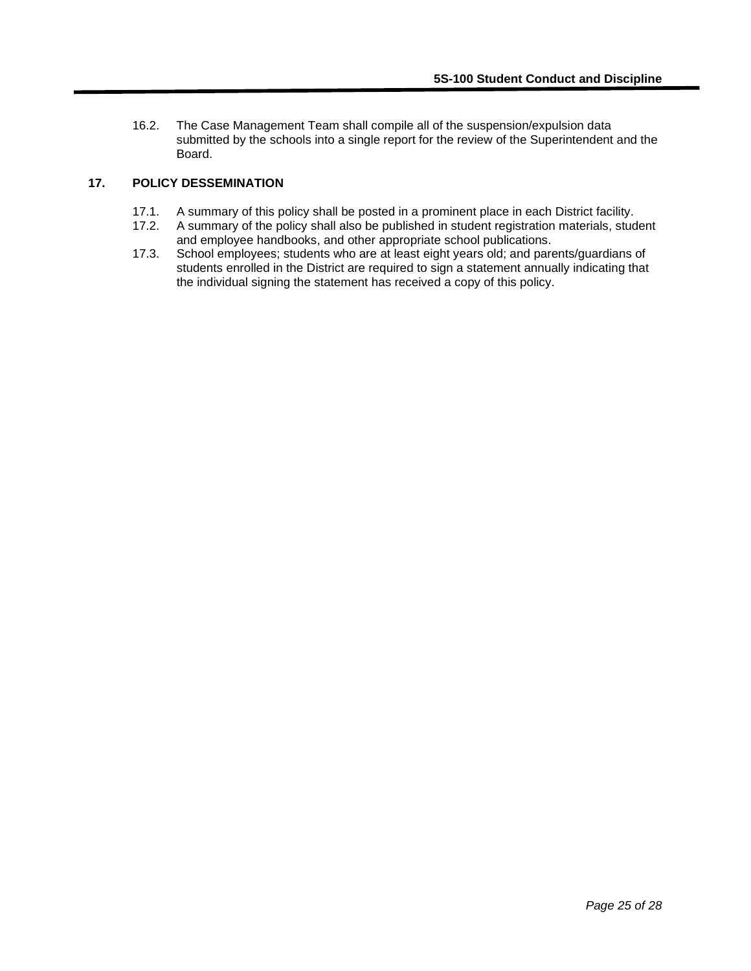16.2. The Case Management Team shall compile all of the suspension/expulsion data submitted by the schools into a single report for the review of the Superintendent and the Board.

# **17. POLICY DESSEMINATION**

- 17.1. A summary of this policy shall be posted in a prominent place in each District facility.<br>17.2. A summary of the policy shall also be published in student registration materials, stud
- 17.2. A summary of the policy shall also be published in student registration materials, student and employee handbooks, and other appropriate school publications.
- 17.3. School employees; students who are at least eight years old; and parents/guardians of students enrolled in the District are required to sign a statement annually indicating that the individual signing the statement has received a copy of this policy.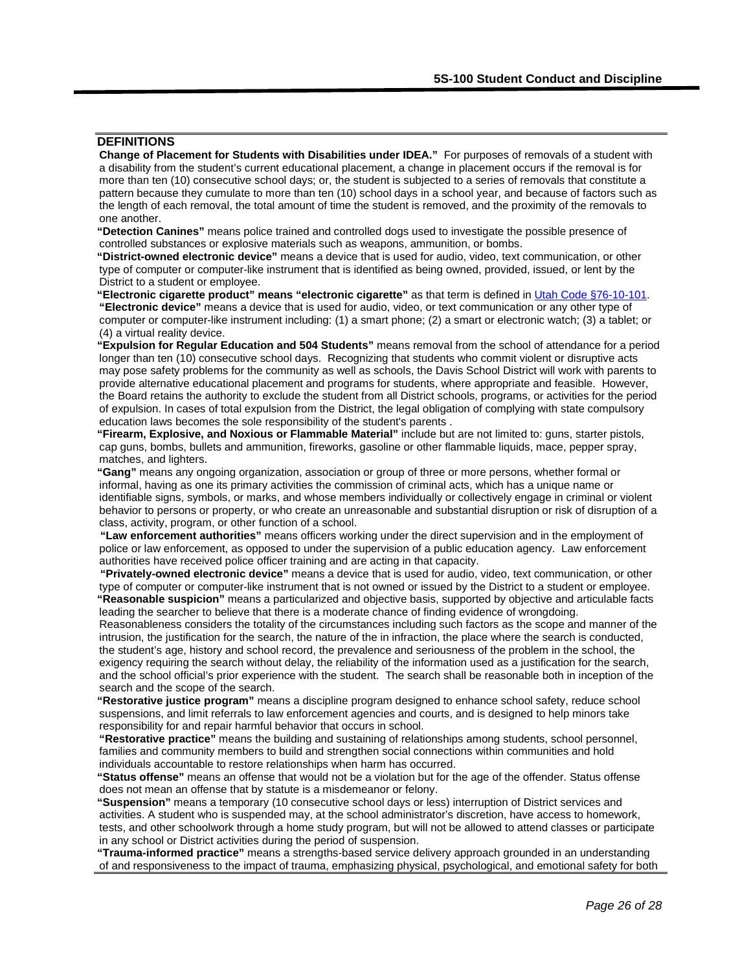# **DEFINITIONS**

**Change of Placement for Students with Disabilities under IDEA."** For purposes of removals of a student with a disability from the student's current educational placement, a change in placement occurs if the removal is for more than ten (10) consecutive school days; or, the student is subjected to a series of removals that constitute a pattern because they cumulate to more than ten (10) school days in a school year, and because of factors such as the length of each removal, the total amount of time the student is removed, and the proximity of the removals to one another.

**"Detection Canines"** means police trained and controlled dogs used to investigate the possible presence of controlled substances or explosive materials such as weapons, ammunition, or bombs.

**"District-owned electronic device"** means a device that is used for audio, video, text communication, or other type of computer or computer-like instrument that is identified as being owned, provided, issued, or lent by the District to a student or employee.

**"Electronic cigarette product" means "electronic cigarette"** as that term is defined in [Utah Code §76-10-101.](https://le.utah.gov/xcode/Title76/Chapter10/76-10-S101.html?v=C76-10-S101_2020051220200701) **"Electronic device"** means a device that is used for audio, video, or text communication or any other type of computer or computer-like instrument including: (1) a smart phone; (2) a smart or electronic watch; (3) a tablet; or (4) a virtual reality device.

**"Expulsion for Regular Education and 504 Students"** means removal from the school of attendance for a period longer than ten (10) consecutive school days. Recognizing that students who commit violent or disruptive acts may pose safety problems for the community as well as schools, the Davis School District will work with parents to provide alternative educational placement and programs for students, where appropriate and feasible. However, the Board retains the authority to exclude the student from all District schools, programs, or activities for the period of expulsion. In cases of total expulsion from the District, the legal obligation of complying with state compulsory education laws becomes the sole responsibility of the student's parents .

**"Firearm, Explosive, and Noxious or Flammable Material"** include but are not limited to: guns, starter pistols, cap guns, bombs, bullets and ammunition, fireworks, gasoline or other flammable liquids, mace, pepper spray, matches, and lighters.

**"Gang"** means any ongoing organization, association or group of three or more persons, whether formal or informal, having as one its primary activities the commission of criminal acts, which has a unique name or identifiable signs, symbols, or marks, and whose members individually or collectively engage in criminal or violent behavior to persons or property, or who create an unreasonable and substantial disruption or risk of disruption of a class, activity, program, or other function of a school.

**"Law enforcement authorities"** means officers working under the direct supervision and in the employment of police or law enforcement, as opposed to under the supervision of a public education agency. Law enforcement authorities have received police officer training and are acting in that capacity.

**"Privately-owned electronic device"** means a device that is used for audio, video, text communication, or other type of computer or computer-like instrument that is not owned or issued by the District to a student or employee. **"Reasonable suspicion"** means a particularized and objective basis, supported by objective and articulable facts leading the searcher to believe that there is a moderate chance of finding evidence of wrongdoing.

Reasonableness considers the totality of the circumstances including such factors as the scope and manner of the intrusion, the justification for the search, the nature of the in infraction, the place where the search is conducted, the student's age, history and school record, the prevalence and seriousness of the problem in the school, the exigency requiring the search without delay, the reliability of the information used as a justification for the search, and the school official's prior experience with the student. The search shall be reasonable both in inception of the search and the scope of the search.

**"Restorative justice program"** means a discipline program designed to enhance school safety, reduce school suspensions, and limit referrals to law enforcement agencies and courts, and is designed to help minors take responsibility for and repair harmful behavior that occurs in school.

**"Restorative practice"** means the building and sustaining of relationships among students, school personnel, families and community members to build and strengthen social connections within communities and hold individuals accountable to restore relationships when harm has occurred.

**"Status offense"** means an offense that would not be a violation but for the age of the offender. Status offense does not mean an offense that by statute is a misdemeanor or felony.

**"Suspension"** means a temporary (10 consecutive school days or less) interruption of District services and activities. A student who is suspended may, at the school administrator's discretion, have access to homework, tests, and other schoolwork through a home study program, but will not be allowed to attend classes or participate in any school or District activities during the period of suspension.

**"Trauma-informed practice"** means a strengths-based service delivery approach grounded in an understanding of and responsiveness to the impact of trauma, emphasizing physical, psychological, and emotional safety for both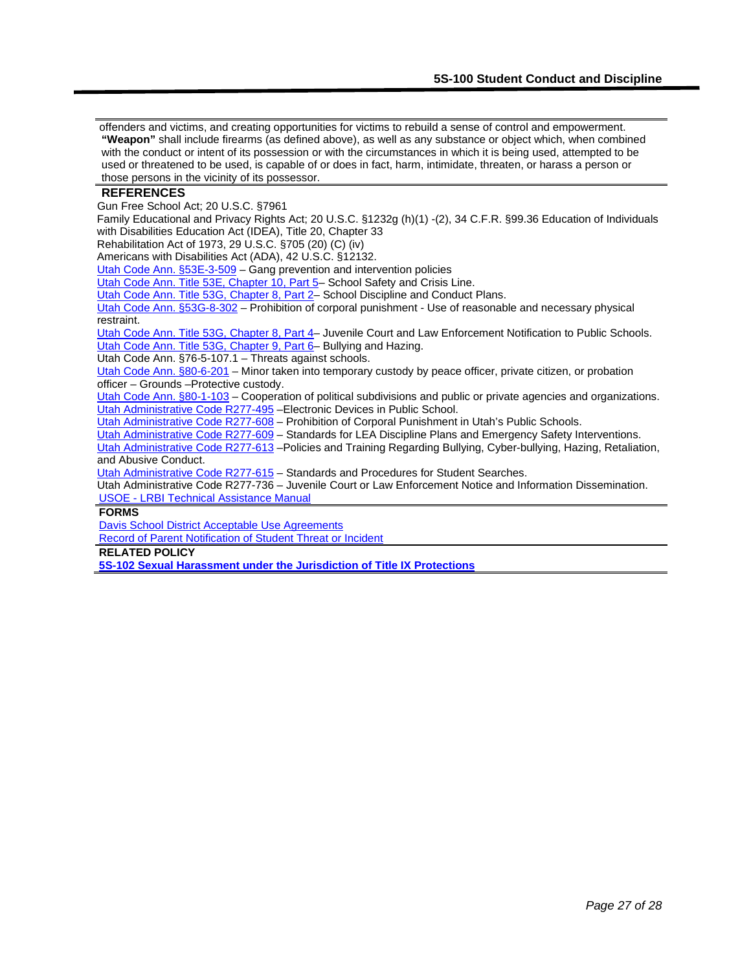offenders and victims, and creating opportunities for victims to rebuild a sense of control and empowerment. **"Weapon"** shall include firearms (as defined above), as well as any substance or object which, when combined with the conduct or intent of its possession or with the circumstances in which it is being used, attempted to be used or threatened to be used, is capable of or does in fact, harm, intimidate, threaten, or harass a person or those persons in the vicinity of its possessor.

#### **REFERENCES**

Gun Free School Act; 20 U.S.C. §7961

Family Educational and Privacy Rights Act; 20 U.S.C. §1232g (h)(1) -(2), 34 C.F.R. §99.36 Education of Individuals with Disabilities Education Act (IDEA), Title 20, Chapter 33

Rehabilitation Act of 1973, 29 U.S.C. §705 (20) (C) (iv)

Americans with Disabilities Act (ADA), 42 U.S.C. §12132.

[Utah Code Ann. §53E-3-509](https://le.utah.gov/xcode/Title53E/Chapter3/53E-3-S509.html?v=C53E-3-S509_2018012420180124) - Gang prevention and intervention policies

Utah Code Ann. Title 53E, Chapter 10, Part 5- School Safety and Crisis Line.

[Utah Code Ann. Title 53G, Chapter 8, Part 2–](https://le.utah.gov/xcode/Title53G/Chapter8/53G-8-P2.html?v=C53G-8-P2_2018012420180124) School Discipline and Conduct Plans.

[Utah Code Ann. §53G-8-302](https://le.utah.gov/xcode/Title53G/Chapter8/53G-8-S302.html?v=C53G-8-S302_2018012420180124) – Prohibition of corporal punishment - Use of reasonable and necessary physical restraint.

Utah Code Ann. Title 53G, Chapter 8, Part 4- Juvenile Court and Law Enforcement Notification to Public Schools. [Utah Code Ann. Title 53G, Chapter 9, Part 6–](https://le.utah.gov/xcode/Title53G/Chapter9/53G-9-P6.html?v=C53G-9-P6_2018012420180124) Bullying and Hazing.

Utah Code Ann. §76-5-107.1 – Threats against schools.

[Utah Code Ann. §8](http://le.utah.gov/%7Ecode/TITLE78A/htm/78A06_011200.htm)0-6-201 – Minor taken into temporary custody by peace officer, private citizen, or probation officer – Grounds –Protective custody.

[Utah Code Ann. §8](http://le.utah.gov/%7Ecode/TITLE78A/htm/78A06_111000.htm)0-1-103 – Cooperation of political subdivisions and public or private agencies and organizations. [Utah Administrative Code R277-495](http://www.rules.utah.gov/publicat/code/r277/r277-495.htm) - Electronic Devices in Public School.

[Utah Administrative Code R277-608](http://www.rules.utah.gov/publicat/code/r277/r277-608.htm) - Prohibition of Corporal Punishment in Utah's Public Schools.

[Utah Administrative Code R277-609](http://www.rules.utah.gov/publicat/code/r277/r277-609.htm) – Standards for LEA Discipline Plans and Emergency Safety Interventions.

[Utah Administrative Code R277-613](https://rules.utah.gov/publicat/code/r277/r277-613.htm) –Policies and Training Regarding Bullying, Cyber-bullying, Hazing, Retaliation, and Abusive Conduct.

[Utah Administrative Code R277-615](http://www.rules.utah.gov/publicat/code/r277/r277-615.htm) – Standards and Procedures for Student Searches.

Utah Administrative Code R277-736 – Juvenile Court or Law Enforcement Notice and Information Dissemination. USOE - [LRBI Technical Assistance Manual](http://www.schools.utah.gov/sars/Behavior/ManualPrint.aspx)

#### **FORMS**

Davis School District Acceptable Use Agreements [Record of Parent Notification of Student Threat or Incident](hhttps://www.davis.k12.ut.us/fs/resource-manager/view/2215f787-d36a-4720-8686-39044811c16c)

**RELATED POLICY**

**[5S-102 Sexual Harassment under the Jurisdiction of Title IX Protections](https://resources.finalsite.net/images/v1596819331/davisk12utus/um0jzm2jxgcgl6q9ifkn/5S-102SexualHarassmentUndertheJurisdictionofTitleIXProtections.pdf)**